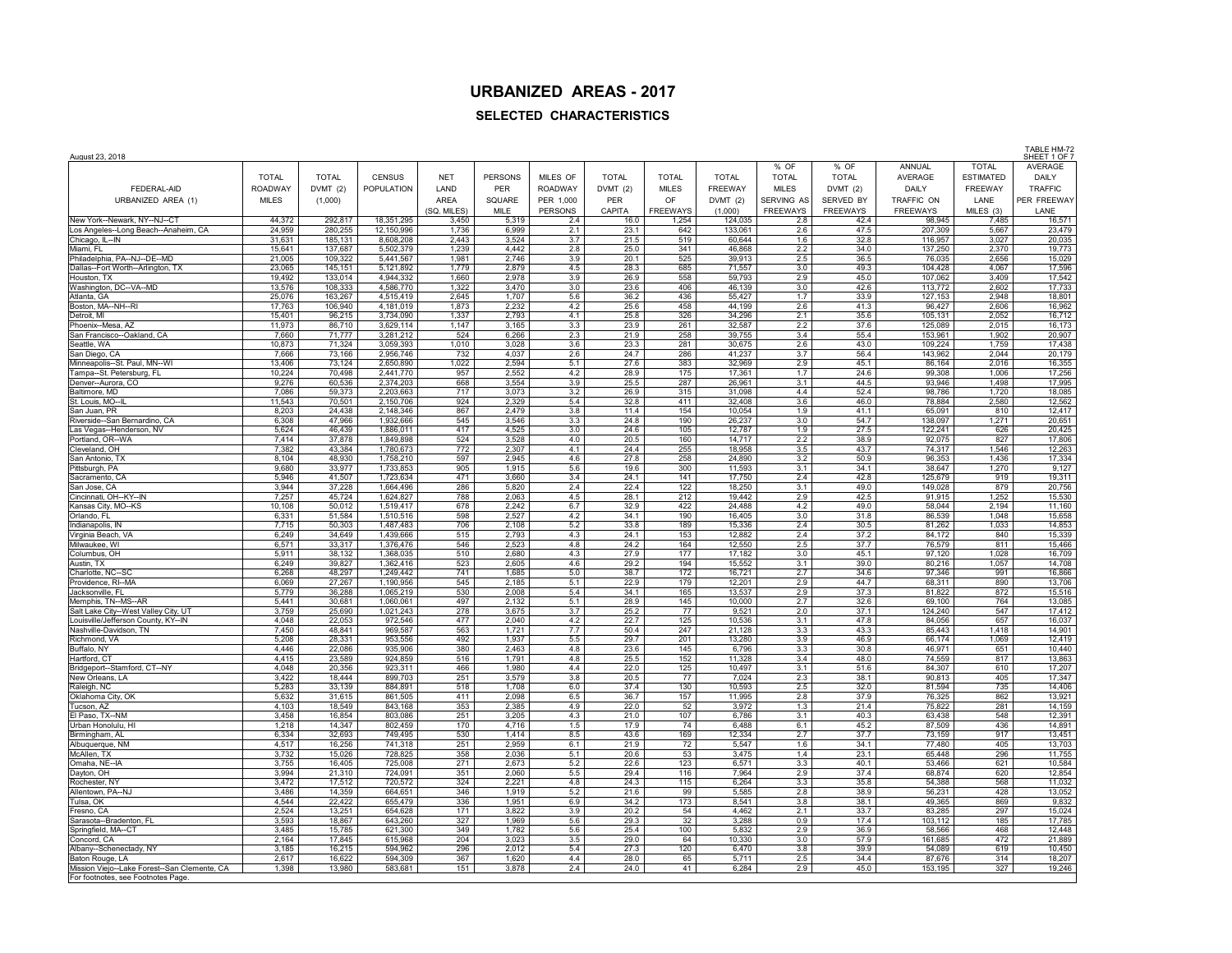## **URBANIZED AREAS - 2017**

## **SELECTED CHARACTERISTICS**

| August 23, 2018                                                 |                  |                    |                          |                |                |                |              |                 |                    |                   |                 |                    |                  | TABLE HM-72<br>SHEET 1 OF 7 |
|-----------------------------------------------------------------|------------------|--------------------|--------------------------|----------------|----------------|----------------|--------------|-----------------|--------------------|-------------------|-----------------|--------------------|------------------|-----------------------------|
|                                                                 |                  |                    |                          |                |                |                |              |                 |                    | % OF              | % OF            | ANNUAL             | <b>TOTAL</b>     | AVERAGE                     |
|                                                                 | <b>TOTAL</b>     | <b>TOTAL</b>       | <b>CENSUS</b>            | <b>NET</b>     | <b>PERSONS</b> | MILES OF       | <b>TOTAL</b> | <b>TOTAL</b>    | <b>TOTAL</b>       | <b>TOTAL</b>      | <b>TOTAL</b>    | AVERAGE            | <b>ESTIMATED</b> | <b>DAILY</b>                |
| FEDERAL-AID                                                     | <b>ROADWAY</b>   | DVMT(2)            | <b>POPULATION</b>        | LAND           | <b>PER</b>     | <b>ROADWAY</b> | DVMT (2)     | <b>MILES</b>    | FREEWAY            | <b>MILES</b>      | DVMT(2)         | DAILY              | FREEWAY          | <b>TRAFFIC</b>              |
| URBANIZED AREA (1)                                              | <b>MILES</b>     | (1,000)            |                          | AREA           | SQUARE         | PER 1,000      | PER          | OF              | DVMT(2)            | <b>SERVING AS</b> | SERVED BY       | TRAFFIC ON         | LANE             | PER FREEWAY                 |
|                                                                 |                  |                    |                          | (SQ. MILES)    | MILE           | <b>PERSONS</b> | CAPITA       | <b>FREEWAYS</b> | (1,000)            | <b>FREEWAYS</b>   | <b>FREEWAYS</b> | <b>FREEWAYS</b>    | MILES (3)        | LANE                        |
| New York--Newark, NY--NJ--CT                                    | 44,372<br>24,959 | 292,817<br>280,255 | 18,351,295<br>12,150,996 | 3,450<br>1,736 | 5,319          | 2.4<br>2.1     | 16.0<br>23.1 | 1,254<br>642    | 124,035<br>133,061 | 2.8<br>2.6        | 42.4<br>47.5    | 98,945<br>207,309  | 7,485            | 16,571<br>23,479            |
| Los Angeles--Long Beach--Anaheim, CA<br>Chicago, IL--IN         | 31,631           | 185,131            | 8,608,208                | 2,443          | 6,999<br>3,524 | 3.7            | 21.5         | 519             | 60,644             | 1.6               | 32.8            | 116,957            | 5,667<br>3,027   | 20,035                      |
| Miami, FL                                                       | 15.641           | 137.687            | 5.502.379                | 1.239          | 4.442          | 2.8            | 25.0         | 341             | 46.868             | 2.2               | 34.0            | 137.250            | 2.370            | 19.773                      |
| Philadelphia, PA--NJ--DE--MD                                    | 21,005           | 109,322            | 5,441,567                | 1,981          | 2,746          | 3.9            | 20.1         | 525             | 39,913             | 2.5               | 36.5            | 76,035             | 2,656            | 15,029                      |
| Dallas--Fort Worth--Arlington, TX                               | 23,065           | 145,151            | 5,121,892                | 1,779          | 2,879          | 4.5            | 28.3         | 685             | 71,557             | 3.0               | 49.3            | 104,428            | 4,067            | 17,596                      |
| Houston, TX<br>Washington, DC--VA--MD                           | 19,492<br>13,576 | 133,014<br>108,333 | 4,944,332<br>4,586,770   | 1,660<br>1,322 | 2,978<br>3,470 | 3.9<br>3.0     | 26.9<br>23.6 | 558<br>406      | 59,793<br>46,139   | 2.9<br>3.0        | 45.0<br>42.6    | 107,062<br>113,772 | 3,409<br>2,602   | 17,542<br>17,733            |
| Atlanta, GA                                                     | 25,076           | 163,267            | 4,515,419                | 2,645          | 1,707          | 5.6            | 36.2         | 436             | 55,427             | 1.7               | 33.9            | 127,153            | 2,948            | 18,801                      |
| Boston, MA--NH--RI                                              | 17,763           | 106,940            | 4,181,019                | 1,873          | 2,232          | 4.2            | 25.6         | 458             | 44,199             | 2.6               | 41.3            | 96,427             | 2,606            | 16,962                      |
| Detroit. MI                                                     | 15.401           | 96.215             | 3.734.090                | 1,337          | 2.793          | 4.1            | 25.8         | 326             | 34.296             | 2.1               | 35.6            | 105.131            | 2.052            | 16,712                      |
| Phoenix--Mesa, AZ<br>San Francisco--Oakland, CA                 | 11,973<br>7,660  | 86,710<br>71,777   | 3,629,114<br>3,281,212   | 1,147<br>524   | 3,165<br>6,266 | 3.3<br>2.3     | 23.9<br>21.9 | 261<br>258      | 32,587<br>39,755   | 2.2<br>3.4        | 37.6<br>55.4    | 125,089<br>153,961 | 2.015<br>1,902   | 16,173<br>20,907            |
| Seattle, WA                                                     | 10,873           | 71,324             | 3,059,393                | 1,010          | 3,028          | 3.6            | 23.3         | 281             | 30,675             | 2.6               | 43.0            | 109,224            | 1,759            | 17,438                      |
| San Diego, CA                                                   | 7,666            | 73,166             | 2,956,746                | 732            | 4,037          | 2.6            | 24.7         | 286             | 41,237             | 3.7               | 56.4            | 143,962            | 2,044            | 20,179                      |
| Minneapolis--St. Paul, MN--WI                                   | 13,406           | 73,124             | 2,650,890                | 1,022          | 2,594          | 5.1            | 27.6         | 383             | 32,969             | 2.9               | 45.1            | 86,164             | 2,016            | 16,355                      |
| Tampa--St. Petersburg, FL                                       | 10,224           | 70,498             | 2,441,770                | 957            | 2,552          | 4.2            | 28.9         | 175             | 17,361             | 1.7               | 24.6            | 99,308             | 1,006            | 17,256                      |
| Denver--Aurora, CO<br>Baltimore, MD                             | 9.276<br>7.086   | 60.536<br>59.373   | 2.374.203<br>2.203.663   | 668<br>717     | 3.554<br>3.073 | 3.9<br>3.2     | 25.5<br>26.9 | 287<br>315      | 26.961<br>31.098   | 3.1<br>4.4        | 44.5<br>52.4    | 93.946<br>98.786   | 1.498<br>1.720   | 17.995<br>18.085            |
| St. Louis, MO--II                                               | 11,543           | 70,501             | 2,150,706                | 924            | 2,329          | 5.4            | 32.8         | 411             | 32,408             | 3.6               | 46.0            | 78,884             | 2,580            | 12,562                      |
| San Juan, PR                                                    | 8,203            | 24,438             | 2,148,346                | 867            | 2,479          | 3.8            | 11.4         | 154             | 10,054             | 1.9               | 41.1            | 65,091             | 810              | 12,417                      |
| Riverside--San Bernardino, CA                                   | 6,308            | 47,966             | 1,932,666                | 545            | 3,546          | 3.3            | 24.8         | 190             | 26,237             | 3.0               | 54.7            | 138,097            | 1,271            | 20,651                      |
| Las Vegas--Henderson, NV<br>Portland, OR--WA                    | 5,624<br>7,414   | 46,439<br>37,878   | 1,886,011<br>1,849,898   | 417<br>524     | 4,525          | 3.0<br>4.0     | 24.6<br>20.5 | 105<br>160      | 12,787<br>14,717   | 1.9               | 27.5<br>38.9    | 122,241<br>92,075  | 626<br>827       | 20,425<br>17,806            |
| Cleveland, OH                                                   | 7,382            | 43,384             | 1,780,673                | 772            | 3,528<br>2,307 | 4.1            | 24.4         | 255             | 18,958             | 2.2<br>3.5        | 43.7            | 74,317             | 1,546            | 12,263                      |
| San Antonio, TX                                                 | 8.104            | 48.930             | 1.758.210                | 597            | 2.945          | 4.6            | 27.8         | 258             | 24.890             | 3.2               | 50.9            | 96.353             | 1.436            | 17,334                      |
| Pittsburgh, PA                                                  | 9,680            | 33,977             | 1,733,853                | 905            | 1,915          | 5.6            | 19.6         | 300             | 11,593             | 3.1               | 34.1            | 38,647             | 1,270            | 9,127                       |
| Sacramento, CA                                                  | 5,946            | 41,507             | 1,723,634                | 471            | 3,660          | 3.4            | 24.1         | 141             | 17,750             | 2.4               | 42.8            | 125,679            | 919              | 19,311                      |
| San Jose, CA<br>Cincinnati, OH--KY--IN                          | 3,944<br>7,257   | 37,228<br>45,724   | 1,664,496<br>1,624,827   | 286<br>788     | 5,820<br>2,063 | 2.4<br>4.5     | 22.4<br>28.1 | 122<br>212      | 18,250<br>19,442   | 3.1<br>2.9        | 49.0<br>42.5    | 149,028<br>91,915  | 879<br>1,252     | 20,756<br>15,530            |
| Kansas City, MO--KS                                             | 10,108           | 50,012             | 1,519,417                | 678            | 2,242          | 6.7            | 32.9         | 422             | 24,488             | 4.2               | 49.0            | 58,044             | 2,194            | 11,160                      |
| Orlando, FL                                                     | 6,331            | 51,584             | 1,510,516                | 598            | 2,527          | 4.2            | 34.1         | 190             | 16,405             | 3.0               | 31.8            | 86,539             | 1,048            | 15,658                      |
| Indianapolis, IN                                                | 7.715            | 50.303             | 1.487.483                | 706            | 2.108          | 5.2            | 33.8         | 189             | 15.336             | 2.4               | 30.5            | 81.262             | 1.033            | 14.853                      |
| Virginia Beach, VA                                              | 6.249<br>6,571   | 34.649<br>33,317   | 1.439.666<br>1,376,476   | 515<br>546     | 2.793<br>2,523 | 4.3<br>4.8     | 24.1<br>24.2 | 153<br>164      | 12.882<br>12,550   | 2.4<br>2.5        | 37.2<br>37.7    | 84.172             | 840<br>811       | 15.339<br>15,466            |
| Milwaukee, WI<br>Columbus, OH                                   | 5,911            | 38,132             | 1,368,035                | 510            | 2,680          | 4.3            | 27.9         | 177             | 17,182             | 3.0               | 45.1            | 76,579<br>97,120   | 1,028            | 16,709                      |
| Austin, TX                                                      | 6,249            | 39,827             | 1,362,416                | 523            | 2,605          | 4.6            | 29.2         | 194             | 15,552             | 3.1               | 39.0            | 80,216             | 1,057            | 14,708                      |
| Charlotte, NC--SC                                               | 6,268            | 48,297             | 1,249,442                | 741            | 1,685          | 5.0            | 38.7         | 172             | 16,721             | 2.7               | 34.6            | 97,346             | 991              | 16,866                      |
| Providence, RI--MA<br>Jacksonville, FL                          | 6,069<br>5.779   | 27,267<br>36.288   | 1,190,956                | 545<br>530     | 2,185<br>2.008 | 5.1<br>5.4     | 22.9<br>34.1 | 179<br>165      | 12,201             | 2.9<br>2.9        | 44.7<br>37.3    | 68,311             | 890<br>872       | 13,706                      |
| Memphis, TN--MS--AR                                             | 5.441            | 30.681             | 1,065,219<br>1.060.061   | 497            | 2,132          | 5.1            | 28.9         | 145             | 13,537<br>10.000   | 2.7               | 32.6            | 81,822<br>69.100   | 764              | 15,516<br>13,085            |
| Salt Lake City--West Valley City, UT                            | 3,759            | 25,690             | 1,021,243                | 278            | 3,675          | 3.7            | 25.2         | 77              | 9,521              | 2.0               | 37.1            | 124,240            | 547              | 17,412                      |
| Louisville/Jefferson County, KY--IN                             | 4,048            | 22,053             | 972,546                  | 477            | 2,040          | 4.2            | 22.7         | 125             | 10,536             | 3.1               | 47.8            | 84,056             | 657              | 16,037                      |
| Nashville-Davidson, TN                                          | 7,450            | 48,841             | 969,587                  | 563            | 1,721          | 7.7            | 50.4         | 247             | 21,128             | 3.3               | 43.3            | 85,443             | 1,418            | 14,901                      |
| Richmond, VA<br>Buffalo, NY                                     | 5,208<br>4,446   | 28,331<br>22,086   | 953,556<br>935,906       | 492<br>380     | 1,937<br>2,463 | 5.5<br>4.8     | 29.7<br>23.6 | 201<br>145      | 13,280<br>6,796    | 3.9<br>3.3        | 46.9<br>30.8    | 66,174<br>46,971   | 1,069<br>651     | 12,419<br>10,440            |
| Hartford, CT                                                    | 4,415            | 23,589             | 924,859                  | 516            | 1,791          | 4.8            | 25.5         | 152             | 11,328             | 3.4               | 48.0            | 74,559             | 817              | 13,863                      |
| Bridgeport--Stamford, CT--NY                                    | 4.048            | 20.356             | 923.311                  | 466            | 1.980          | 4.4            | 22.0         | 125             | 10.497             | 3.1               | 51.6            | 84.307             | 610              | 17.207                      |
| New Orleans, LA                                                 | 3,422            | 18,444             | 899,703                  | 251            | 3,579          | 3.8            | 20.5         | 77              | 7,024              | 2.3               | 38.1            | 90,813             | 405              | 17,347                      |
| Raleigh, NC<br>Oklahoma City, OK                                | 5,283<br>5,632   | 33,139<br>31,615   | 884,891<br>861,505       | 518<br>411     | 1,708<br>2,098 | 6.0<br>6.5     | 37.4<br>36.7 | 130<br>157      | 10,593<br>11,995   | 2.5<br>2.8        | 32.0<br>37.9    | 81,594<br>76,325   | 735<br>862       | 14,406<br>13,921            |
| Tucson, AZ                                                      | 4,103            | 18,549             | 843,168                  | 353            | 2,385          | 4.9            | 22.0         | 52              | 3,972              | 1.3               | 21.4            | 75,822             | 281              | 14,159                      |
| El Paso, TX--NM                                                 | 3,458            | 16,854             | 803,086                  | 251            | 3,205          | 4.3            | 21.0         | 107             | 6,786              | 3.1               | 40.3            | 63,438             | 548              | 12,391                      |
| Urban Honolulu, HI                                              | 1,218            | 14,347             | 802,459                  | 170            | 4,716          | 1.5            | 17.9         | 74              | 6,488              | 6.1               | 45.2            | 87,509             | 436              | 14,891                      |
| Birmingham, AL                                                  | 6.334            | 32.693             | 749.495                  | 530            | 1.414          | 8.5            | 43.6         | 169             | 12.334             | 2.7               | 37.7            | 73.159             | 917              | 13.451                      |
| Albuquerque, NM<br>McAllen, TX                                  | 4.517<br>3,732   | 16.256<br>15,026   | 741.318<br>728,825       | 251<br>358     | 2.959<br>2,036 | 6.1<br>5.1     | 21.9<br>20.6 | 72<br>53        | 5.547<br>3,475     | 1.6<br>1.4        | 34.1<br>23.1    | 77.480<br>65.448   | 405<br>296       | 13.703<br>11,755            |
| Omaha, NE--IA                                                   | 3,755            | 16,405             | 725,008                  | 271            | 2,673          | 5.2            | 22.6         | 123             | 6,571              | 3.3               | 40.1            | 53,466             | 621              | 10,584                      |
| Dayton, OH                                                      | 3,994            | 21,310             | 724,091                  | 351            | 2,060          | 5.5            | 29.4         | 116             | 7,964              | 2.9               | 37.4            | 68,874             | 620              | 12,854                      |
| Rochester, NY                                                   | 3,472            | 17,512             | 720,572                  | 324            | 2,221          | 4.8            | 24.3         | 115             | 6,264              | 3.3               | 35.8            | 54,388             | 568              | 11,032                      |
| Allentown, PA--NJ<br>Tulsa, OK                                  | 3,486<br>4.544   | 14,359<br>22.422   | 664,651<br>655.479       | 346<br>336     | 1,919<br>1.951 | 5.2<br>6.9     | 21.6<br>34.2 | 99<br>173       | 5,585<br>8.541     | 2.8<br>3.8        | 38.9<br>38.1    | 56,231<br>49.365   | 428<br>869       | 13,052<br>9.832             |
| Fresno, CA                                                      | 2.524            | 13.251             | 654.628                  | 171            | 3.822          | 3.9            | 20.2         | 54              | 4.462              | 2.1               | 33.7            | 83.285             | 297              | 15.024                      |
| Sarasota--Bradenton, FL                                         | 3,593            | 18,867             | 643,260                  | 327            | 1,969          | 5.6            | 29.3         | 32              | 3,288              | 0.9               | 17.4            | 103,112            | 185              | 17,785                      |
| Springfield, MA--CT                                             | 3,485            | 15,785             | 621,300                  | 349            | 1,782          | 5.6            | 25.4         | 100             | 5,832              | 2.9               | 36.9            | 58,566             | 468              | 12,448                      |
| Concord, CA                                                     | 2,164            | 17,845             | 615,968                  | 204            | 3,023          | 3.5            | 29.0         | 64              | 10,330             | 3.0               | 57.9            | 161,685            | 472              | 21,889                      |
| Albany--Schenectady, NY                                         | 3,185<br>2,617   | 16,215<br>16.622   | 594,962<br>594,309       | 296<br>367     | 2,012<br>1,620 | 5.4<br>4.4     | 27.3<br>28.0 | 120<br>65       | 6,470<br>5,711     | 3.8<br>2.5        | 39.9<br>34.4    | 54,089<br>87,676   | 619<br>314       | 10,450<br>18,207            |
| Baton Rouge, LA<br>Mission Viejo--Lake Forest--San Clemente, CA | 1,398            | 13,980             | 583,681                  | 151            | 3,878          | 2.4            | 24.0         | 41              | 6,284              | 2.9               | 45.0            | 153,195            | 327              | 19,246                      |
| For footnotes, see Footnotes Page                               |                  |                    |                          |                |                |                |              |                 |                    |                   |                 |                    |                  |                             |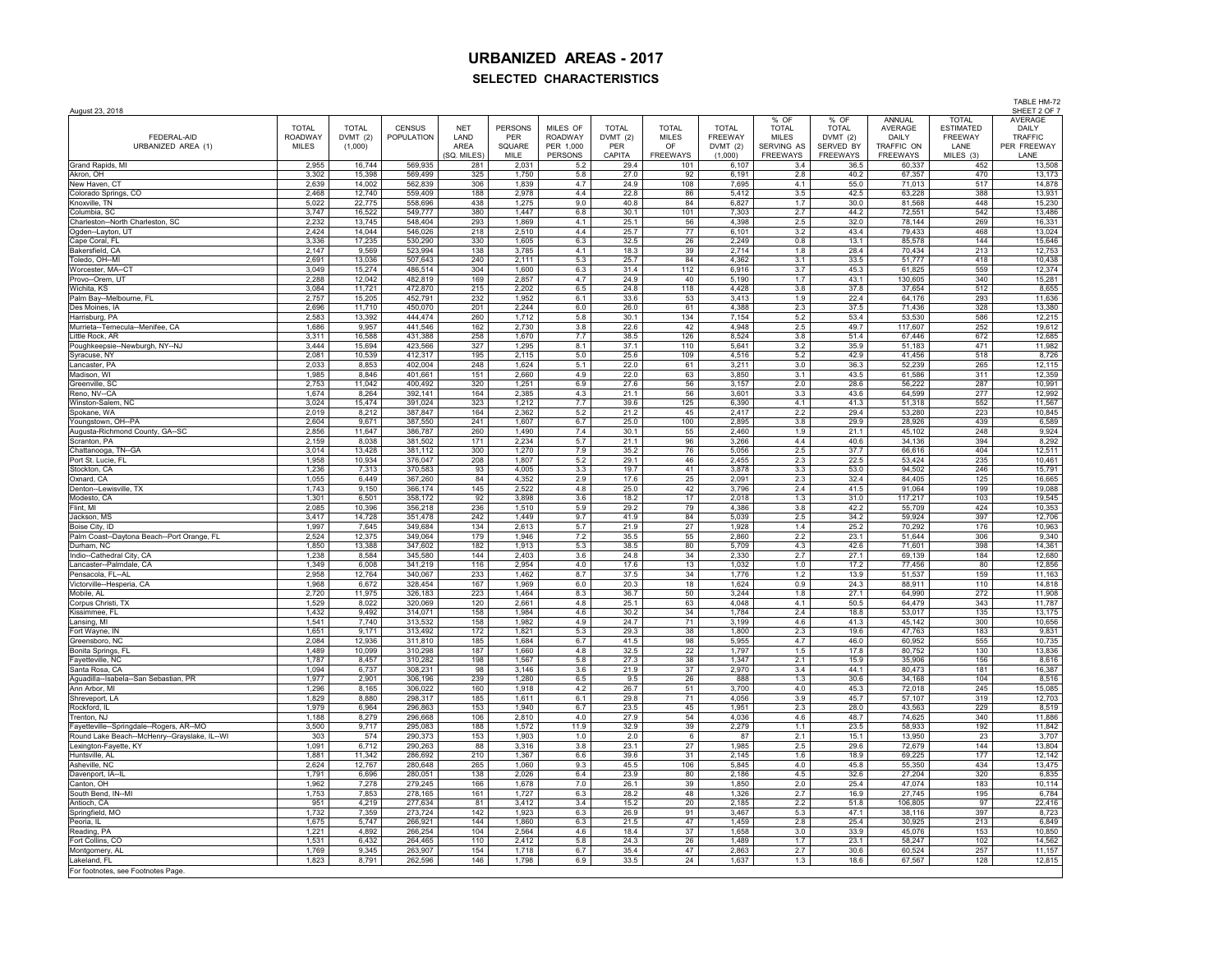TABLE HM-72

| August 23, 2018                              |                                |                          |                             |                    |                |                            |                          |                              |                                |                              |                         |                         |                             | SHEET 2 OF 7            |
|----------------------------------------------|--------------------------------|--------------------------|-----------------------------|--------------------|----------------|----------------------------|--------------------------|------------------------------|--------------------------------|------------------------------|-------------------------|-------------------------|-----------------------------|-------------------------|
|                                              |                                |                          |                             |                    |                |                            |                          |                              |                                | % OF                         | % OF                    | ANNUAL                  | <b>TOTAL</b>                | <b>AVERAGE</b>          |
| FEDERAL-AID                                  | <b>TOTAL</b><br><b>ROADWAY</b> | <b>TOTAL</b><br>DVMT (2) | <b>CENSUS</b><br>POPULATION | <b>NET</b><br>LAND | PERSONS<br>PER | MILES OF<br><b>ROADWAY</b> | <b>TOTAL</b><br>DVMT (2) | <b>TOTAL</b><br><b>MILES</b> | <b>TOTAL</b><br><b>FREEWAY</b> | <b>TOTAL</b><br><b>MILES</b> | <b>TOTAL</b><br>DVMT(2) | <b>AVERAGE</b><br>DAILY | <b>ESTIMATED</b><br>FREEWAY | DAILY<br><b>TRAFFIC</b> |
| URBANIZED AREA (1)                           | <b>MILES</b>                   | (1,000)                  |                             | AREA               | SQUARE         | PER 1,000                  | PER                      | OF                           | DVMT(2)                        | SERVING AS                   | SERVED BY               | TRAFFIC ON              | LANE                        | PER FREEWAY             |
|                                              |                                |                          |                             | (SQ. MILES         | MILE           | PERSONS                    | CAPITA                   | <b>FREEWAYS</b>              | (1,000)                        | FREEWAYS                     | FREEWAYS                | <b>FREEWAYS</b>         | MILES (3)                   | LANE                    |
| Grand Rapids, MI                             | 2.955                          | 16.744                   | 569.935                     | 281                | 2.031          | 5.2                        | 29.4                     | 101                          | 6.107                          | 3.4                          | 36.5                    | 60.337                  | 452                         | 13,508                  |
| Akron, OH                                    | 3,302                          | 15,398                   | 569,499                     | 325                | 1,750          | 5.8                        | 27.0                     | 92                           | 6,191                          | 2.8                          | 40.2                    | 67,357                  | 470                         | 13,173                  |
| New Haven, CT                                | 2,639                          | 14,002                   | 562,839                     | 306                | 1,839          | 4.7                        | 24.9                     | 108                          | 7,695                          | 4.1                          | 55.0                    | 71,013                  | 517                         | 14,878                  |
| Colorado Springs, CO                         | 2,468                          | 12.740                   | 559.409                     | 188                | 2,978          | 4.4                        | 22.8                     | 86                           | 5,412                          | 3.5                          | 42.5                    | 63,228                  | 388                         | 13,931                  |
| Knoxville, TN                                | 5.022                          | 22,775                   | 558,696                     | 438                | 1.275          | 9.0                        | 40.8                     | 84                           | 6.827                          | 1.7                          | 30.0                    | 81.568                  | 448                         | 15.230                  |
| Columbia, SC                                 | 3,747                          | 16,522                   | 549.777                     | 380                | 1,447          | 6.8                        | 30.1                     | 101                          | 7,303                          | 2.7                          | 44.2                    | 72,551                  | 542                         | 13,486                  |
| Charleston--North Charleston, SC             | 2,232                          | 13,745                   | 548,404                     | 293                | 1,869          | 4.1                        | 25.1                     | 56                           | 4.398                          | 2.5                          | 32.0                    | 78,144                  | 269                         | 16,331                  |
| Ogden--Layton, UT                            | 2,424                          | 14.044                   | 546,026                     | 218                | 2,510          | 4.4                        | 25.7                     | 77                           | 6,101                          | 3.2                          | 43.4                    | 79,433                  | 468                         | 13,024                  |
| Cape Coral, FL                               | 3,336                          | 17,235                   | 530,290                     | 330                | 1,605          | 6.3                        | 32.5                     | 26                           | 2,249                          | 0.8                          | 13.1                    | 85,578                  | 144                         | 15,646                  |
| Bakersfield, CA                              | 2.147                          | 9,569                    | 523.994                     | 138                | 3,785          | 4.1                        | 18.3                     | 39                           | 2,714                          | 1.8                          | 28.4                    | 70,434                  | 213                         | 12,753                  |
| Toledo, OH--MI                               | 2.691                          | 13.036                   | 507.643                     | 240                | 2,111          | 5.3                        | 25.7                     | 84                           | 4,362                          | 3.1                          | 33.5                    | 51,777                  | 418                         | 10,438                  |
| Worcester, MA--CT                            | 3,049                          | 15,274                   | 486,514                     | 304                | 1,600          | 6.3                        | 31.4                     | 112                          | 6,916                          | 3.7                          | 45.3                    | 61,825                  | 559                         | 12,374                  |
| Provo--Orem. UT                              | 2,288                          | 12,042                   | 482,819                     | 169                | 2,857          | 4.7                        | 24.9                     | 40                           | 5,190                          | 1.7                          | 43.1                    | 130,605                 | 340                         | 15,281                  |
| Wichita, KS                                  | 3,084                          | 11,721                   | 472,870                     | 215                | 2,202          | 6.5                        | 24.8                     | 118                          | 4,428                          | 3.8                          | 37.8                    | 37,654                  | 512                         | 8,655                   |
| Palm Bay--Melbourne, FL                      | 2.757                          | 15.205                   | 452.791                     | 232                | 1.952          | 6.1                        | 33.6                     | 53                           | 3.413                          | 1.9                          | 22.4                    | 64,176                  | 293                         | 11,636                  |
| Des Moines, IA                               | 2,696                          | 11,710                   | 450.070                     | 201                | 2,244          | 6.0                        | 26.0                     | 61                           | 4,388                          | 2.3                          | 37.5                    | 71,436                  | 328                         | 13,380                  |
| Harrisburg, PA                               | 2,583                          | 13,392                   | 444.474                     | 260                | 1,712          | 5.8                        | 30.1                     | 134                          | 7,154                          | 5.2                          | 53.4                    | 53,530                  | 586                         | 12,215                  |
| Murrieta--Temecula--Menifee, CA              | 1,686                          | 9,957                    | 441,546                     | 162                | 2,730          | 3.8                        | 22.6                     | 42                           | 4,948                          | 2.5                          | 49.7                    | 117,607                 | 252                         | 19,612                  |
| Little Rock, AR                              | 3,311                          | 16,588                   | 431,388                     | 258                | 1,670          | 7.7                        | 38.5                     | 126                          | 8,524                          | 3.8                          | 51.4                    | 67,446                  | 672                         | 12,685                  |
| Poughkeepsie--Newburgh, NY--NJ               | 3,444<br>2,081                 | 15,694                   | 423,566<br>412.317          | 327<br>195         | 1,295<br>2,115 | 8.1<br>5.0                 | 37.1                     | 110<br>109                   | 5,641<br>4.516                 | 3.2<br>5.2                   | 35.9<br>42.9            | 51,183<br>41,456        | 471<br>518                  | 11,982                  |
| Syracuse, NY                                 | 2,033                          | 10,539<br>8,853          | 402,004                     | 248                | 1,624          | 5.1                        | 25.6<br>22.0             | 61                           | 3,211                          | 3.0                          | 36.3                    | 52,239                  | 265                         | 8,726<br>12,115         |
| Lancaster, PA<br>Madison, WI                 | 1,985                          | 8,846                    | 401,661                     | 151                | 2,660          | 4.9                        | 22.0                     | 63                           | 3,850                          | 3.1                          | 43.5                    | 61,586                  | 311                         | 12,359                  |
|                                              | 2,753                          |                          |                             | 320                |                |                            | 27.6                     | 56                           |                                |                              |                         |                         |                             |                         |
| Greenville, SC<br>Reno, NV-CA                | 1.674                          | 11,042<br>8.264          | 400,492<br>392.141          | 164                | 1,251<br>2.385 | 6.9<br>4.3                 | 21.1                     | 56                           | 3,157<br>3.601                 | 2.0<br>3.3                   | 28.6<br>43.6            | 56,222<br>64.599        | 287<br>277                  | 10,991<br>12.992        |
| Winston-Salem, NC                            | 3.024                          | 15,474                   | 391.024                     | 323                | 1,212          | 7.7                        | 39.6                     | 125                          | 6.390                          | 4.1                          | 41.3                    | 51.318                  | 552                         | 11,567                  |
| Spokane, WA                                  | 2,019                          | 8,212                    | 387,847                     | 164                | 2,362          | 5.2                        | 21.2                     | 45                           | 2,417                          | 2.2                          | 29.4                    | 53,280                  | 223                         | 10,845                  |
| Youngstown, OH--PA                           | 2.604                          | 9.671                    | 387,550                     | 241                | 1,607          | 6.7                        | 25.0                     | 100                          | 2,895                          | 3.8                          | 29.9                    | 28,926                  | 439                         | 6,589                   |
| Augusta-Richmond County, GA--SC              | 2,856                          | 11,647                   | 386,787                     | 260                | 1,490          | 7.4                        | 30.1                     | 55                           | 2,460                          | 1.9                          | 21.1                    | 45,102                  | 248                         | 9,924                   |
| Scranton, PA                                 | 2,159                          | 8,038                    | 381.502                     | 171                | 2,234          | 5.7                        | 21.1                     | 96                           | 3,266                          | 4.4                          | 40.6                    | 34,136                  | 394                         | 8,292                   |
| Chattanooga, TN--GA                          | 3,014                          | 13,428                   | 381,112                     | 300                | 1,270          | 7.9                        | 35.2                     | 76                           | 5,056                          | 2.5                          | 37.7                    | 66,616                  | 404                         | 12,511                  |
| Port St. Lucie, FL                           | 1,958                          | 10,934                   | 376,047                     | 208                | 1,807          | 5.2                        | 29.1                     | 46                           | 2,455                          | 2.3                          | 22.5                    | 53,424                  | 235                         | 10,461                  |
| Stockton, CA                                 | 1,236                          | 7,313                    | 370,583                     | 93                 | 4,005          | 3.3                        | 19.7                     | 41                           | 3,878                          | 3.3                          | 53.0                    | 94,502                  | 246                         | 15,791                  |
| Oxnard, CA                                   | 1,055                          | 6,449                    | 367,260                     | 84                 | 4,352          | 2.9                        | 17.6                     | 25                           | 2,091                          | 2.3                          | 32.4                    | 84,405                  | 125                         | 16,665                  |
| Denton--Lewisville, TX                       | 1,743                          | 9.150                    | 366.174                     | 145                | 2,522          | 4.8                        | 25.0                     | 42                           | 3.796                          | 2.4                          | 41.5                    | 91,064                  | 199                         | 19,088                  |
| Modesto, CA                                  | 1,301                          | 6,501                    | 358,172                     | 92                 | 3,898          | 3.6                        | 18.2                     | 17                           | 2,018                          | 1.3                          | 31.0                    | 117,217                 | 103                         | 19,545                  |
| Flint, MI                                    | 2,085                          | 10,396                   | 356,218                     | 236                | 1,510          | 5.9                        | 29.2                     | 79                           | 4,386                          | 3.8                          | 42.2                    | 55,709                  | 424                         | 10,353                  |
| Jackson, MS                                  | 3,417                          | 14,728                   | 351.478                     | 242                | 1,449          | 9.7                        | 41.9                     | 84                           | 5,039                          | 2.5                          | 34.2                    | 59,924                  | 397                         | 12,706                  |
| Boise City, ID                               | 1,997                          | 7,645                    | 349,684                     | 134                | 2,613          | 5.7                        | 21.9                     | 27                           | 1,928                          | 1.4                          | 25.2                    | 70,292                  | 176                         | 10,963                  |
| Palm Coast--Daytona Beach--Port Orange, FL   | 2,524                          | 12,375                   | 349,064                     | 179                | 1,946          | 7.2                        | 35.5                     | 55                           | 2,860                          | 2.2                          | 23.1                    | 51,644                  | 306                         | 9,340                   |
| Durham, NC                                   | 1.850                          | 13,388                   | 347,602                     | 182                | 1,913          | 5.3                        | 38.5                     | 80                           | 5,709                          | 4.3                          | 42.6                    | 71,601                  | 398                         | 14,361                  |
| Indio--Cathedral City, CA                    | 1,238                          | 8,584                    | 345,580                     | 144                | 2,403          | 3.6                        | 24.8                     | 34                           | 2,330                          | 2.7                          | 27.1                    | 69,139                  | 184                         | 12,680                  |
| Lancaster--Palmdale, CA                      | 1,349                          | 6,008                    | 341,219                     | 116                | 2,954          | 4.0                        | 17.6                     | 13                           | 1,032                          | 1.0                          | 17.2                    | 77,456                  | 80                          | 12,856                  |
| Pensacola, FL--AL                            | 2,958                          | 12.764                   | 340,067                     | 233                | 1,462          | 8.7                        | 37.5                     | 34                           | 1,776                          | 1.2                          | 13.9                    | 51,537                  | 159                         | 11,163                  |
| Victorville--Hesperia, CA                    | 1.968                          | 6,672                    | 328.454                     | 167                | 1,969          | 6.0                        | 20.3                     | 18                           | 1.624                          | 0.9                          | 24.3                    | 88,911                  | 110                         | 14,818                  |
| Mobile, AL                                   | 2,720                          | 11,975                   | 326,183                     | 223                | 1,464          | 8.3                        | 36.7                     | 50                           | 3,244                          | 1.8                          | 27.1                    | 64,990                  | 272                         | 11,908                  |
| Corpus Christi, TX                           | 1.529                          | 8.022                    | 320.069                     | 120                | 2,661          | 4.8                        | 25.1                     | 63                           | 4,048                          | 4.1                          | 50.5                    | 64,479                  | 343                         | 11,787                  |
| Kissimmee, FL                                | 1,432<br>1.541                 | 9,492<br>7.740           | 314,071<br>313.532          | 158<br>158         | 1,984<br>1.982 | 4.6<br>4.9                 | 30.2                     | 34<br>71                     | 1,784<br>3.199                 | 2.4<br>4.6                   | 18.8<br>41.3            | 53,017<br>45.142        | 135<br>300                  | 13,175                  |
| Lansing, MI                                  |                                | 9,171                    |                             | 172                |                |                            | 24.7                     |                              |                                |                              |                         |                         |                             | 10,656                  |
| Fort Wayne, IN<br>Greensboro, NC             | 1,651<br>2.084                 | 12.936                   | 313,492<br>311,810          | 185                | 1,821<br>1,684 | 5.3<br>6.7                 | 29.3<br>41.5             | 38<br>98                     | 1,800<br>5,955                 | 2.3<br>4.7                   | 19.6<br>46.0            | 47,763<br>60,952        | 183<br>555                  | 9,831<br>10,735         |
|                                              | 1,489                          | 10,099                   | 310,298                     | 187                | 1,660          | 4.8                        | 32.5                     | 22                           | 1,797                          | 1.5                          | 17.8                    | 80,752                  | 130                         | 13,836                  |
| Bonita Springs, FL<br>Fayetteville, NC       | 1,787                          | 8,457                    | 310,282                     | 198                | 1,567          | 5.8                        | 27.3                     | 38                           | 1,347                          | 2.1                          | 15.9                    | 35,906                  | 156                         | 8,616                   |
| Santa Rosa, CA                               | 1,094                          | 6,737                    | 308,231                     | 98                 | 3,146          | 3.6                        | 21.9                     | 37                           | 2,970                          | 3.4                          | 44.1                    | 80,473                  | 181                         | 16,387                  |
| Aguadilla--Isabela--San Sebastian, PR        | 1,977                          | 2.901                    | 306,196                     | 239                | 1,280          | 6.5                        | 9.5                      | 26                           | 888                            | 1.3                          | 30.6                    | 34,168                  | 104                         | 8,516                   |
| Ann Arbor, MI                                | 1,296                          | 8,165                    | 306,022                     | 160                | 1,918          | 4.2                        | 26.7                     | 51                           | 3,700                          | 4.0                          | 45.3                    | 72,018                  | 245                         | 15,085                  |
| Shreveport, LA                               | 1,829                          | 8,880                    | 298,317                     | 185                | 1,611          | 6.1                        | 29.8                     | 71                           | 4,056                          | 3.9                          | 45.7                    | 57,107                  | 319                         | 12,703                  |
| Rockford, IL                                 | 1,979                          | 6,964                    | 296,863                     | 153                | 1,940          | 6.7                        | 23.5                     | 45                           | 1,951                          | 2.3                          | 28.0                    | 43,563                  | 229                         | 8,519                   |
| Trenton, N.J                                 | 1.188                          | 8,279                    | 296.668                     | 106                | 2,810          | 4.0                        | 27.9                     | 54                           | 4.036                          | 4.6                          | 48.7                    | 74,625                  | 340                         | 11,886                  |
| Fayetteville--Springdale--Rogers, AR--MO     | 3,500                          | 9.717                    | 295,083                     | 188                | 1,572          | 11.9                       | 32.9                     | 39                           | 2,279                          | 1.1                          | 23.5                    | 58,933                  | 192                         | 11,842                  |
| Round Lake Beach--McHenry--Grayslake, IL--WI | 303                            | 574                      | 290,373                     | 153                | 1,903          | 1.0                        | 2.0                      | 6                            | 87                             | 2.1                          | 15.1                    | 13.950                  | 23                          | 3,707                   |
| Lexington-Fayette, KY                        | 1,091                          | 6,712                    | 290,263                     | 88                 | 3,316          | 3.8                        | 23.1                     | 27                           | 1,985                          | 2.5                          | 29.6                    | 72,679                  | 144                         | 13,804                  |
| Huntsville, AL                               | 1,881                          | 11,342                   | 286,692                     | 210                | 1,367          | 6.6                        | 39.6                     | 31                           | 2,145                          | 1.6                          | 18.9                    | 69,225                  | 177                         | 12,142                  |
| Asheville, NC                                | 2,624                          | 12,767                   | 280,648                     | 265                | 1,060          | 9.3                        | 45.5                     | 106                          | 5,845                          | 4.0                          | 45.8                    | 55,350                  | 434                         | 13,475                  |
| Davenport, IA--IL                            | 1,791                          | 6,696                    | 280,051                     | 138                | 2,026          | 6.4                        | 23.9                     | 80                           | 2,186                          | 4.5                          | 32.6                    | 27,204                  | 320                         | 6,835                   |
| Canton, OH                                   | 1,962                          | 7,278                    | 279,245                     | 166                | 1.678          | 7.0                        | 26.1                     | 39                           | 1.850                          | 2.0                          | 25.4                    | 47.074                  | 183                         | 10,114                  |
| South Bend, IN-MI                            | 1,753                          | 7,853                    | 278,165                     | 161                | 1,727          | 6.3                        | 28.2                     | 48                           | 1,326                          | 2.7                          | 16.9                    | 27,745                  | 195                         | 6,784                   |
| Antioch, CA                                  | 951                            | 4,219                    | 277,634                     | 81                 | 3,412          | 3.4                        | 15.2                     | 20                           | 2,185                          | 2.2                          | 51.8                    | 106,805                 | 97                          | 22,416                  |
| Springfield, MO                              | 1,732                          | 7.359                    | 273.724                     | 142                | 1,923          | 6.3                        | 26.9                     | 91                           | 3,467                          | 5.3                          | 47.1                    | 38,116                  | 397                         | 8,723                   |
| Peoria, IL                                   | 1,675                          | 5,747                    | 266,921                     | 144                | 1,860          | 6.3                        | 21.5                     | 47                           | 1,459                          | 2.8                          | 25.4                    | 30,925                  | 213                         | 6,849                   |
| Reading, PA                                  | 1,221                          | 4,892                    | 266,254                     | 104                | 2,564          | 4.6                        | 18.4                     | 37                           | 1,658                          | 3.0                          | 33.9                    | 45,076                  | 153                         | 10,850                  |
| Fort Collins, CO                             | 1,531                          | 6,432                    | 264,465                     | 110                | 2,412          | 5.8                        | 24.3                     | 26                           | 1,489                          | 1.7                          | 23.1                    | 58,247                  | 102                         | 14,562                  |
| Montgomery, AL                               | 1,769                          | 9,345                    | 263,907                     | 154                | 1,718          | 6.7                        | 35.4                     | 47                           | 2,863                          | 2.7                          | 30.6                    | 60,524                  | 257                         | 11,157                  |
| Lakeland, FL                                 | 1,823                          | 8,791                    | 262,596                     | 146                | 1,798          | 6.9                        | 33.5                     | 24                           | 1,637                          | 1.3                          | 18.6                    | 67,567                  | 128                         | 12,815                  |
| For footnotes, see Footnotes Page.           |                                |                          |                             |                    |                |                            |                          |                              |                                |                              |                         |                         |                             |                         |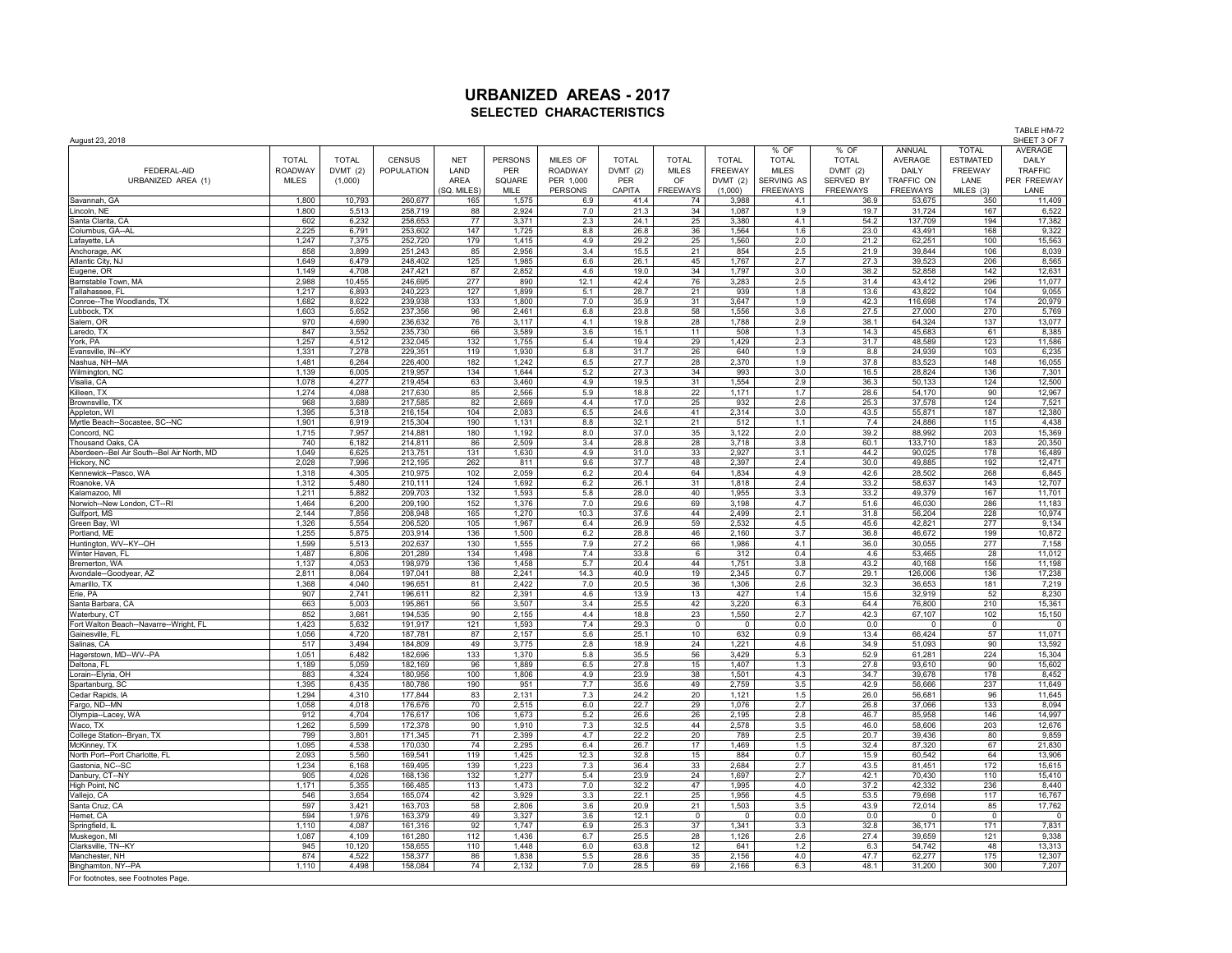| August 23, 2018                                           |                |                 |                    |                    |                |                             |                      |                       |                      |                               |                              |                               | TABLE HM-72<br>SHEET 3 OF 7 |                       |
|-----------------------------------------------------------|----------------|-----------------|--------------------|--------------------|----------------|-----------------------------|----------------------|-----------------------|----------------------|-------------------------------|------------------------------|-------------------------------|-----------------------------|-----------------------|
|                                                           |                |                 |                    |                    |                |                             |                      |                       |                      | % OF                          | % OF                         | ANNUAL                        | <b>TOTAL</b>                | <b>AVERAGE</b>        |
|                                                           | <b>TOTAL</b>   | <b>TOTAL</b>    | CENSUS             | <b>NET</b>         | <b>PERSONS</b> | MILES OF                    | <b>TOTAL</b>         | <b>TOTAL</b>          | <b>TOTAL</b>         | <b>TOTAL</b>                  | <b>TOTAL</b>                 | AVERAGE                       | <b>ESTIMATED</b>            | DAILY                 |
| FEDERAL-AID                                               | <b>ROADWAY</b> | DVMT (2)        | <b>POPULATION</b>  | LAND               | PER            | <b>ROADWAY</b>              | DVMT(2)              | <b>MILES</b>          | <b>FREEWAY</b>       | <b>MILES</b>                  | DVMT(2)                      | DAILY                         | FREEWAY                     | <b>TRAFFIC</b>        |
| URBANIZED AREA (1)                                        | <b>MILES</b>   | (1,000)         |                    | AREA<br>SQ. MILES) | SQUARE<br>MILE | PER 1,000<br><b>PERSONS</b> | <b>PER</b><br>CAPITA | OF<br><b>FREEWAYS</b> | DVMT(2)<br>(1,000)   | SERVING AS<br><b>FREEWAYS</b> | SERVED BY<br><b>FREEWAYS</b> | TRAFFIC ON<br><b>FREEWAYS</b> | LANE<br>MILES (3)           | PER FREEWAY<br>LANE   |
| Savannah, GA                                              | 1,800          | 10,793          | 260,677            | 165                | 1,575          | 6.9                         | 41.4                 | 74                    | 3,988                | 4.1                           | 36.9                         | 53,675                        | 350                         | 11,409                |
| Lincoln, NE                                               | 1,800          | 5,513           | 258,719            | 88                 | 2,924          | 7.0                         | 21.3                 | 34                    | 1,087                | 1.9                           | 19.7                         | 31,724                        | 167                         | 6,522                 |
| Santa Clarita, CA                                         | 602            | 6,232           | 258,653            | 77                 | 3,371          | 2.3                         | 24.1                 | 25                    | 3,380                | 4.1                           | 54.2                         | 137,709                       | 194                         | 17,382                |
| Columbus, GA--AL                                          | 2,225          | 6,791           | 253,602            | 147                | 1,725          | 8.8                         | 26.8                 | 36                    | 1,564                | 1.6                           | 23.0                         | 43,491                        | 168                         | 9,322                 |
| Lafayette, LA                                             | 1,247          | 7,375           | 252,720            | 179                | 1,415          | 4.9                         | 29.2                 | 25                    | 1,560                | 2.0                           | 21.2                         | 62,251                        | 100                         | 15,563                |
| Anchorage, AK                                             | 858<br>1,649   | 3,899<br>6,479  | 251,243<br>248,402 | 85<br>125          | 2,956<br>1,985 | 3.4<br>6.6                  | 15.5<br>26.1         | 21<br>45              | 854<br>1,767         | 2.5<br>2.7                    | 21.9<br>27.3                 | 39,844<br>39,523              | 106<br>206                  | 8,039                 |
| Atlantic City, NJ<br>Eugene, OR                           | 1,149          | 4,708           | 247,421            | 87                 | 2,852          | 4.6                         | 19.0                 | 34                    | 1,797                | 3.0                           | 38.2                         | 52,858                        | 142                         | 8,565<br>12,631       |
| Barnstable Town, MA                                       | 2,988          | 10,455          | 246,695            | 277                | 890            | 12.1                        | 42.4                 | 76                    | 3,283                | 2.5                           | 31.4                         | 43,412                        | 296                         | 11,077                |
| Tallahassee, FL                                           | 1.217          | 6.893           | 240.223            | 127                | 1.899          | 5.1                         | 28.7                 | 21                    | 939                  | 1.8                           | 13.6                         | 43.822                        | 104                         | 9,055                 |
| Conroe--The Woodlands, TX                                 | 1,682          | 8,622           | 239,938            | 133                | 1,800          | 7.0                         | 35.9                 | 31                    | 3,647                | 1.9                           | 42.3                         | 116,698                       | 174                         | 20,979                |
| Lubbock, TX                                               | 1,603          | 5,652           | 237,356            | 96                 | 2,461          | 6.8                         | 23.8                 | 58                    | 1,556                | 3.6                           | 27.5                         | 27,000                        | 270                         | 5,769                 |
| Salem, OR                                                 | 970            | 4,690           | 236,632            | 76                 | 3,117          | 4.1                         | 19.8                 | 28                    | 1,788                | 2.9                           | 38.1                         | 64,324                        | 137                         | 13,077                |
| Laredo, TX<br>York, PA                                    | 847<br>1,257   | 3.552<br>4,512  | 235,730<br>232,045 | 66<br>132          | 3.589<br>1,755 | 3.6<br>5.4                  | 15.1<br>19.4         | 11<br>29              | 508<br>1,429         | 1.3<br>2.3                    | 14.3<br>31.7                 | 45.683<br>48,589              | 61<br>123                   | 8,385<br>11,586       |
| Evansville, IN--KY                                        | 1,331          | 7,278           | 229,351            | 119                | 1,930          | 5.8                         | 31.7                 | 26                    | 640                  | 1.9                           | 8.8                          | 24,939                        | 103                         | 6,235                 |
| Nashua, NH--MA                                            | 1,481          | 6,264           | 226,400            | 182                | 1,242          | 6.5                         | 27.7                 | 28                    | 2,370                | 1.9                           | 37.8                         | 83,523                        | 148                         | 16,055                |
| Wilmington, NC                                            | 1,139          | 6,005           | 219.957            | 134                | 1.644          | 5.2                         | 27.3                 | 34                    | 993                  | 3.0                           | 16.5                         | 28.824                        | 136                         | 7,301                 |
| Visalia, CA                                               | 1,078          | 4,277           | 219,454            | 63                 | 3,460          | 4.9                         | 19.5                 | 31                    | 1,554                | 2.9                           | 36.3                         | 50,133                        | 124                         | 12,500                |
| Killeen, TX                                               | 1,274          | 4,088           | 217,630            | 85                 | 2,566          | 5.9                         | 18.8                 | 22                    | 1,171                | 1.7                           | 28.6                         | 54,170                        | 90                          | 12,967                |
| Brownsville, TX<br>Appleton, WI                           | 968<br>1.395   | 3,689<br>5.318  | 217,585<br>216,154 | 82<br>104          | 2,669<br>2.083 | 4.4<br>6.5                  | 17.0<br>24.6         | 25<br>41              | 932<br>2.314         | 2.6<br>3.0                    | 25.3<br>43.5                 | 37,578<br>55.871              | 124<br>187                  | 7,521<br>12,380       |
| Myrtle Beach--Socastee, SC--NC                            | 1,901          | 6,919           | 215,304            | 190                | 1,131          | 8.8                         | 32.1                 | 21                    | 512                  | 1.1                           | 7.4                          | 24,886                        | 115                         | 4,438                 |
| Concord, NC                                               | 1,715          | 7,957           | 214,881            | 180                | 1,192          | 8.0                         | 37.0                 | 35                    | 3,122                | 2.0                           | 39.2                         | 88,992                        | 203                         | 15,369                |
| Thousand Oaks, CA                                         | 740            | 6,182           | 214,811            | 86                 | 2,509          | 3.4                         | 28.8                 | 28                    | 3,718                | 3.8                           | 60.1                         | 133,710                       | 183                         | 20,350                |
| Aberdeen--Bel Air South--Bel Air North, MD                | 1.049          | 6,625           | 213,751            | 131                | 1.630          | 4.9                         | 31.0                 | 33                    | 2.927                | 3.1                           | 44.2                         | 90.025                        | 178                         | 16,489                |
| Hickory, NC                                               | 2,028          | 7,996           | 212,195            | 262                | 811            | 9.6                         | 37.7                 | 48                    | 2,397                | 2.4                           | 30.0                         | 49,885                        | 192                         | 12,471                |
| Kennewick--Pasco, WA<br>Roanoke, VA                       | 1,318<br>1,312 | 4,305<br>5.480  | 210,975<br>210.111 | 102<br>124         | 2,059<br>1,692 | 6.2<br>6.2                  | 20.4<br>26.1         | 64<br>31              | 1,834<br>1.818       | 4.9<br>2.4                    | 42.6<br>33.2                 | 28,502<br>58.637              | 268<br>143                  | 6,845<br>12,707       |
| Kalamazoo, MI                                             | 1.211          | 5.882           | 209,703            | 132                | 1.593          | 5.8                         | 28.0                 | 40                    | 1.955                | 3.3                           | 33.2                         | 49.379                        | 167                         | 11,701                |
| Norwich--New London, CT--RI                               | 1,464          | 6,200           | 209,190            | 152                | 1,376          | 7.0                         | 29.6                 | 69                    | 3,198                | 4.7                           | 51.6                         | 46,030                        | 286                         | 11,183                |
| Gulfport, MS                                              | 2,144          | 7,856           | 208,948            | 165                | 1,270          | 10.3                        | 37.6                 | 44                    | 2,499                | 2.1                           | 31.8                         | 56,204                        | 228                         | 10,974                |
| Green Bay, WI                                             | 1.326          | 5.554           | 206.520            | 105                | 1.967          | 6.4                         | 26.9                 | 59                    | 2.532                | 4.5                           | 45.6                         | 42.821                        | 277                         | 9,134                 |
| Portland, ME                                              | 1.255          | 5,875           | 203.914            | 136                | 1.500          | 6.2                         | 28.8                 | 46                    | 2.160                | 3.7                           | 36.8                         | 46,672                        | 199                         | 10,872                |
| Huntington, WV--KY--OH                                    | 1,599<br>1,487 | 5,513<br>6,806  | 202,637<br>201,289 | 130<br>134         | 1,555<br>1,498 | 7.9<br>7.4                  | 27.2<br>33.8         | 66<br>6               | 1,986<br>312         | 4.1<br>0.4                    | 36.0<br>4.6                  | 30,055<br>53,465              | 277<br>28                   | 7,158<br>11,012       |
| Winter Haven, FL<br>Bremerton, WA                         | 1,137          | 4,053           | 198,979            | 136                | 1,458          | 5.7                         | 20.4                 | 44                    | 1,751                | 3.8                           | 43.2                         | 40,168                        | 156                         | 11,198                |
| Avondale--Goodyear, AZ                                    | 2.811          | 8.064           | 197,041            | 88                 | 2,241          | 14.3                        | 40.9                 | 19                    | 2.345                | 0.7                           | 29.1                         | 126,006                       | 136                         | 17,238                |
| Amarillo, TX                                              | 1,368          | 4,040           | 196,651            | 81                 | 2,422          | 7.0                         | 20.5                 | 36                    | 1,306                | 2.6                           | 32.3                         | 36,653                        | 181                         | 7,219                 |
| Erie, PA                                                  | 907            | 2,741           | 196,611            | 82                 | 2,391          | 4.6                         | 13.9                 | 13                    | 427                  | 1.4                           | 15.6                         | 32,919                        | 52                          | 8,230                 |
| Santa Barbara, CA                                         | 663            | 5,003           | 195,861            | 56                 | 3,507          | 3.4                         | 25.5                 | 42                    | 3,220                | 6.3                           | 64.4                         | 76,800                        | 210                         | 15,361                |
| Waterbury, CT                                             | 852            | 3,661           | 194,535            | 90                 | 2,155          | 4.4                         | 18.8                 | 23<br>$\mathsf 0$     | 1,550<br>$\mathbf 0$ | 2.7<br>0.0                    | 42.3<br>0.0                  | 67,107<br>$\Omega$            | 102<br>$\mathbf 0$          | 15,150<br>$\mathsf 0$ |
| Fort Walton Beach--Navarre--Wright, FL<br>Gainesville, FL | 1,423<br>1,056 | 5,632<br>4,720  | 191,917<br>187,781 | 121<br>87          | 1,593<br>2,157 | 7.4<br>5.6                  | 29.3<br>25.1         | 10                    | 632                  | 0.9                           | 13.4                         | 66,424                        | 57                          | 11,071                |
| Salinas, CA                                               | 517            | 3,494           | 184,809            | 49                 | 3,775          | 2.8                         | 18.9                 | 24                    | 1,221                | 4.6                           | 34.9                         | 51,093                        | 90                          | 13,592                |
| Hagerstown, MD--WV--PA                                    | 1,051          | 6,482           | 182,696            | 133                | 1,370          | $5.8\,$                     | 35.5                 | 56                    | 3,429                | 5.3                           | 52.9                         | 61,281                        | 224                         | 15,304                |
| Deltona, FL                                               | 1,189          | 5,059           | 182,169            | 96                 | 1,889          | 6.5                         | 27.8                 | 15                    | 1,407                | 1.3                           | 27.8                         | 93,610                        | 90                          | 15,602                |
| Lorain--Elyria, OH                                        | 883            | 4,324           | 180,956            | 100                | 1,806          | 4.9                         | 23.9                 | 38                    | 1,501                | 4.3                           | 34.7                         | 39,678                        | 178                         | 8,452                 |
| Spartanburg, SC                                           | 1,395<br>1,294 | 6,435<br>4,310  | 180,786<br>177,844 | 190<br>83          | 951<br>2,131   | 7.7<br>$7.3\,$              | 35.6<br>24.2         | 49<br>20              | 2,759<br>1,121       | 3.5<br>$1.5\,$                | 42.9<br>26.0                 | 56,666<br>56,681              | 237<br>96                   | 11,649<br>11,645      |
| Cedar Rapids, IA<br>Fargo, ND--MN                         | 1,058          | 4,018           | 176,676            | 70                 | 2,515          | 6.0                         | 22.7                 | 29                    | 1,076                | 2.7                           | 26.8                         | 37,066                        | 133                         | 8,094                 |
| Olympia--Lacey, WA                                        | 912            | 4,704           | 176,617            | 106                | 1,673          | 5.2                         | 26.6                 | 26                    | 2,195                | 2.8                           | 46.7                         | 85,958                        | 146                         | 14,997                |
| Waco, TX                                                  | 1,262          | 5,599           | 172,378            | 90                 | 1,910          | 7.3                         | 32.5                 | 44                    | 2,578                | 3.5                           | 46.0                         | 58,606                        | 203                         | 12,676                |
| College Station--Bryan, TX                                | 799            | 3,801           | 171,345            | 71                 | 2,399          | 4.7                         | 22.2                 | 20                    | 789                  | $2.5\,$                       | 20.7                         | 39,436                        | 80                          | 9,859                 |
| McKinney, TX                                              | 1,095          | 4,538           | 170,030            | 74                 | 2,295          | 6.4                         | 26.7                 | 17                    | 1,469                | 1.5                           | 32.4                         | 87,320                        | 67                          | 21,830                |
| North Port--Port Charlotte, FL                            | 2,093<br>1,234 | 5,560<br>6,168  | 169,541<br>169,495 | 119<br>139         | 1,425<br>1,223 | 12.3<br>7.3                 | 32.8<br>36.4         | 15<br>33              | 884<br>2,684         | 0.7<br>2.7                    | 15.9<br>43.5                 | 60,542<br>81,451              | 64<br>172                   | 13,906<br>15,615      |
| Gastonia, NC--SC<br>Danbury, CT--NY                       | 905            | 4,026           | 168,136            | 132                | 1,277          | 5.4                         | 23.9                 | 24                    | 1,697                | 2.7                           | 42.1                         | 70,430                        | 110                         | 15,410                |
| High Point, NC                                            | 1,171          | 5,355           | 166,485            | 113                | 1,473          | 7.0                         | 32.2                 | 47                    | 1,995                | 4.0                           | 37.2                         | 42,332                        | 236                         | 8,440                 |
| Vallejo, CA                                               | 546            | 3,654           | 165,074            | 42                 | 3,929          | 3.3                         | 22.1                 | 25                    | 1,956                | 4.5                           | 53.5                         | 79,698                        | 117                         | 16,767                |
| Santa Cruz, CA                                            | 597            | 3,421           | 163,703            | 58                 | 2,806          | 3.6                         | 20.9                 | 21                    | 1,503                | 3.5                           | 43.9                         | 72,014                        | 85                          | 17,762                |
| Hemet, CA                                                 | 594            | 1,976           | 163,379            | 49                 | 3,327          | 3.6                         | 12.1                 | $\mathsf 0$           | $\mathsf 0$          | $0.0\,$                       | $0.0\,$                      | $\overline{0}$                | $\mathsf 0$                 | $\mathbf 0$           |
| Springfield, II                                           | 1,110          | 4,087           | 161,316            | 92                 | 1,747          | 6.9                         | 25.3                 | 37                    | 1,341                | 3.3                           | 32.8                         | 36,171                        | 171                         | 7,831                 |
| Muskegon, MI<br>Clarksville, TN--KY                       | 1,087<br>945   | 4,109<br>10,120 | 161,280<br>158,655 | 112<br>110         | 1,436<br>1,448 | 6.7<br>6.0                  | 25.5<br>63.8         | 28<br>12              | 1,126<br>641         | 2.6<br>1.2                    | 27.4<br>6.3                  | 39,659<br>54,742              | $121$<br>48                 | 9,338<br>13,313       |
| Manchester, NH                                            | 874            | 4,522           | 158,377            | 86                 | 1,838          | 5.5                         | 28.6                 | 35                    | 2,156                | 4.0                           | 47.7                         | 62,277                        | 175                         | 12,307                |
| Binghamton, NY--PA                                        | 1,110          | 4,498           | 158,084            | 74                 | 2,132          | 7.0                         | 28.5                 | 69                    | 2,166                | 6.3                           | 48.1                         | 31,200                        | 300                         | 7,207                 |
| For footnotes, see Footnotes Page                         |                |                 |                    |                    |                |                             |                      |                       |                      |                               |                              |                               |                             |                       |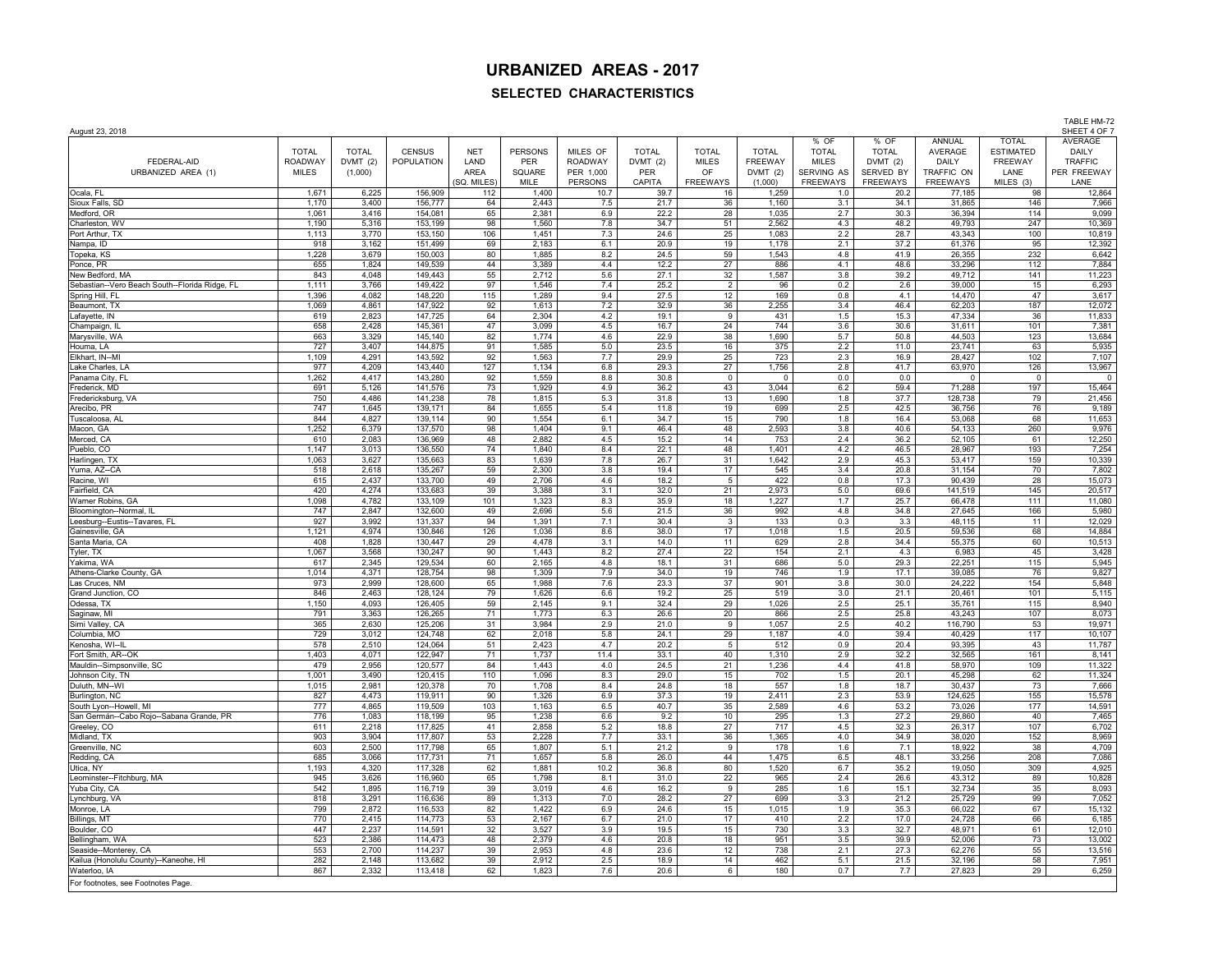## **URBANIZED AREAS - 2017**

## **SELECTED CHARACTERISTICS**

| August 23, 2018                                                   |                                |                     |                    |              |                       |                            |                         |                              |                                |                              |                          |                     |                             | TABLE HM-72<br>SHEET 4 OF 7 |
|-------------------------------------------------------------------|--------------------------------|---------------------|--------------------|--------------|-----------------------|----------------------------|-------------------------|------------------------------|--------------------------------|------------------------------|--------------------------|---------------------|-----------------------------|-----------------------------|
|                                                                   |                                |                     |                    |              |                       |                            |                         |                              |                                | % OF                         | % OF                     | ANNUAL              | <b>TOTAL</b>                | AVERAGE                     |
|                                                                   | <b>TOTAL</b>                   | <b>TOTAL</b>        | <b>CENSUS</b>      | <b>NET</b>   | <b>PERSONS</b><br>PER | MILES OF<br><b>ROADWAY</b> | <b>TOTAL</b><br>DVMT(2) | <b>TOTAL</b><br><b>MILES</b> | <b>TOTAL</b><br><b>FREEWAY</b> | <b>TOTAL</b><br><b>MILES</b> | <b>TOTAL</b><br>DVMT (2) | AVERAGE             | <b>ESTIMATED</b><br>FREEWAY | DAILY<br><b>TRAFFIC</b>     |
| FEDERAL-AID<br>URBANIZED AREA (1)                                 | <b>ROADWAY</b><br><b>MILES</b> | DVMT (2)<br>(1,000) | POPULATION         | LAND<br>AREA | SQUARE                | PER 1,000                  | PER                     | OF                           | DVMT(2)                        | SERVING AS                   | SERVED BY                | DAILY<br>TRAFFIC ON | LANE                        | PER FREEWAY                 |
|                                                                   |                                |                     |                    | (SQ. MILES)  | MILE                  | <b>PERSONS</b>             | CAPITA                  | <b>FREEWAYS</b>              | (1,000)                        | <b>FREEWAYS</b>              | <b>FREEWAYS</b>          | <b>FREEWAYS</b>     | MILES (3)                   | LANE                        |
| Ocala, FL                                                         | 1.671                          | 6,225               | 156,909            | 112          | 1,400                 | 10.7                       | 39.7                    | 16                           | 1,259                          | 1.0                          | 20.2                     | 77.185              | 98                          | 12,864                      |
| Sioux Falls, SD                                                   | 1,170                          | 3,400               | 156,777            | 64           | 2,443                 | 7.5                        | 21.7                    | 36                           | 1,160                          | 3.1                          | 34.1                     | 31,865              | 146                         | 7,966                       |
| Medford, OR                                                       | 1,061                          | 3,416               | 154,081            | 65           | 2,381                 | 6.9                        | 22.2                    | 28                           | 1,035                          | 2.7                          | 30.3                     | 36,394              | 114                         | 9,099                       |
| Charleston, WV<br>Port Arthur, TX                                 | 1,190<br>1,113                 | 5,316<br>3,770      | 153,199<br>153,150 | 98<br>106    | 1,560<br>1,451        | 7.8<br>7.3                 | 34.7<br>24.6            | 51<br>25                     | 2,562<br>1,083                 | 4.3<br>2.2                   | 48.2<br>28.7             | 49,793<br>43,343    | 247<br>100                  | 10,369<br>10,819            |
| Nampa, ID                                                         | 918                            | 3,162               | 151,499            | 69           | 2,183                 | 6.1                        | 20.9                    | 19                           | 1,178                          | 2.1                          | 37.2                     | 61,376              | 95                          | 12,392                      |
| Topeka, KS                                                        | 1,228                          | 3,679               | 150,003            | 80           | 1,885                 | 8.2                        | 24.5                    | 59                           | 1,543                          | 4.8                          | 41.9                     | 26,355              | 232                         | 6,642                       |
| Ponce, PR                                                         | 655                            | 1,824               | 149,539            | 44           | 3,389                 | 4.4                        | 12.2                    | 27                           | 886                            | 4.1                          | 48.6                     | 33,296              | 112                         | 7,884                       |
| New Bedford, MA                                                   | 843                            | 4,048               | 149,443            | 55           | 2,712                 | 5.6                        | 27.1                    | 32                           | 1,587                          | 3.8                          | 39.2                     | 49,712              | 141                         | 11,223                      |
| Sebastian--Vero Beach South--Florida Ridge, FL<br>Spring Hill, FL | 1,111<br>1,396                 | 3,766<br>4,082      | 149,422<br>148,220 | 97<br>115    | 1,546<br>1,289        | 7.4<br>9.4                 | 25.2<br>27.5            | $\overline{2}$<br>12         | 96<br>169                      | 0.2<br>0.8                   | 2.6<br>4.1               | 39,000<br>14,470    | 15<br>47                    | 6,293<br>3,617              |
| Beaumont, TX                                                      | 1,069                          | 4,861               | 147,922            | 92           | 1,613                 | 7.2                        | 32.9                    | 36                           | 2,255                          | 3.4                          | 46.4                     | 62,203              | 187                         | 12,072                      |
| Lafayette, IN                                                     | 619                            | 2,823               | 147,725            | 64           | 2,304                 | 4.2                        | 19.1                    | 9                            | 431                            | 1.5                          | 15.3                     | 47,334              | 36                          | 11,833                      |
| Champaign, II                                                     | 658                            | 2,428               | 145,361            | 47           | 3,099                 | 4.5                        | 16.7                    | 24                           | 744                            | 3.6                          | 30.6                     | 31,611              | 101                         | 7,381                       |
| Marysville, WA<br>Houma, LA                                       | 663<br>727                     | 3,329<br>3,407      | 145,140<br>144,875 | 82<br>91     | 1,774<br>1,585        | 4.6<br>5.0                 | 22.9<br>23.5            | 38<br>16                     | 1,690<br>375                   | 5.7<br>2.2                   | 50.8<br>11.0             | 44,503<br>23,741    | 123<br>63                   | 13,684<br>5,935             |
| Elkhart, IN--MI                                                   | 1,109                          | 4,291               | 143,592            | 92           | 1,563                 | 7.7                        | 29.9                    | 25                           | 723                            | 2.3                          | 16.9                     | 28,427              | 102                         | 7,107                       |
| Lake Charles, LA                                                  | 977                            | 4,209               | 143,440            | 127          | 1,134                 | 6.8                        | 29.3                    | 27                           | 1,756                          | 2.8                          | 41.7                     | 63.970              | 126                         | 13,967                      |
| Panama City, FL                                                   | 1,262                          | 4,417               | 143,280            | 92           | 1,559                 | 8.8                        | 30.8                    | $\mathsf 0$                  | $\mathbf 0$                    | 0.0                          | 0.0                      | 0                   | $\mathsf 0$                 | $\mathsf 0$                 |
| Frederick, MD                                                     | 691                            | 5,126               | 141,576            | 73           | 1,929                 | 4.9                        | 36.2                    | 43                           | 3,044                          | 6.2                          | 59.4                     | 71,288              | 197                         | 15,464                      |
| Fredericksburg, VA<br>Arecibo, PR                                 | 750<br>747                     | 4,486<br>1,645      | 141,238<br>139,171 | 78<br>84     | 1,815<br>1,655        | 5.3<br>5.4                 | 31.8<br>11.8            | 13<br>19                     | 1,690<br>699                   | 1.8<br>2.5                   | 37.7<br>42.5             | 128,738<br>36,756   | 79<br>76                    | 21,456<br>9,189             |
| Tuscaloosa, Al                                                    | 844                            | 4,827               | 139,114            | 90           | 1,554                 | 6.1                        | 34.7                    | 15                           | 790                            | 1.8                          | 16.4                     | 53,068              | 68                          | 11,653                      |
| Macon, GA                                                         | 1,252                          | 6,379               | 137,570            | 98           | 1,404                 | 9.1                        | 46.4                    | 48                           | 2,593                          | 3.8                          | 40.6                     | 54,133              | 260                         | 9,976                       |
| Merced, CA                                                        | 610                            | 2,083               | 136,969            | 48           | 2,882                 | 4.5                        | 15.2                    | 14                           | 753                            | 2.4                          | 36.2                     | 52,105              | 61                          | 12,250                      |
| Pueblo, CO                                                        | 1,147                          | 3,013               | 136,550            | 74           | 1,840                 | 8.4                        | 22.1                    | 48                           | 1,401                          | 4.2                          | 46.5                     | 28,967              | 193                         | 7,254                       |
| Harlingen, TX<br>Yuma, AZ--CA                                     | 1,063<br>518                   | 3,627<br>2,618      | 135,663<br>135,267 | 83<br>59     | 1,639<br>2,300        | 7.8<br>3.8                 | 26.7<br>19.4            | 31<br>17                     | 1,642<br>545                   | 2.9<br>3.4                   | 45.3<br>20.8             | 53,417<br>31,154    | 159<br>70                   | 10,339<br>7,802             |
| Racine, WI                                                        | 615                            | 2,437               | 133,700            | 49           | 2,706                 | 4.6                        | 18.2                    | 5                            | 422                            | 0.8                          | 17.3                     | 90,439              | 28                          | 15,073                      |
| Fairfield, CA                                                     | 420                            | 4,274               | 133,683            | 39           | 3,388                 | 3.1                        | 32.0                    | 21                           | 2,973                          | 5.0                          | 69.6                     | 141,519             | 145                         | 20,517                      |
| Warner Robins, GA                                                 | 1,098                          | 4,782               | 133,109            | 101          | 1,323                 | 8.3                        | 35.9                    | 18                           | 1,227                          | 1.7                          | 25.7                     | 66,478              | 111                         | 11,080                      |
| Bloomington--Normal, IL<br>Leesburg--Eustis--Tavares, FL          | 747<br>927                     | 2,847<br>3,992      | 132,600<br>131,337 | 49<br>94     | 2,696<br>1,391        | 5.6<br>7.1                 | 21.5<br>30.4            | 36                           | 992<br>133                     | 4.8<br>0.3                   | 34.8<br>3.3              | 27,645<br>48.115    | 166<br>11                   | 5,980<br>12,029             |
| Gainesville, GA                                                   | 1,121                          | 4,974               | 130,846            | 126          | 1,036                 | 8.6                        | 38.0                    | 3<br>17                      | 1,018                          | 1.5                          | 20.5                     | 59,536              | 68                          | 14,884                      |
| Santa Maria, CA                                                   | 408                            | 1,828               | 130,447            | 29           | 4,478                 | 3.1                        | 14.0                    | 11                           | 629                            | 2.8                          | 34.4                     | 55,375              | 60                          | 10,513                      |
| Tyler, TX                                                         | 1,067                          | 3,568               | 130,247            | 90           | 1,443                 | 8.2                        | 27.4                    | 22                           | 154                            | 2.1                          | 4.3                      | 6,983               | 45                          | 3,428                       |
| Yakima, WA                                                        | 617                            | 2,345               | 129,534            | 60           | 2,165                 | 4.8                        | 18.1                    | 31                           | 686                            | 5.0                          | 29.3                     | 22,251              | 115                         | 5,945                       |
| Athens-Clarke County, GA<br>Las Cruces, NM                        | 1,014<br>973                   | 4,371<br>2,999      | 128,754<br>128,600 | 98<br>65     | 1,309<br>1,988        | 7.9<br>7.6                 | 34.0<br>23.3            | 19<br>37                     | 746<br>901                     | 1.9<br>3.8                   | 17.1<br>30.0             | 39,085<br>24,222    | 76<br>154                   | 9,827<br>5,848              |
| Grand Junction, CO                                                | 846                            | 2.463               | 128.124            | 79           | 1.626                 | 6.6                        | 19.2                    | 25                           | 519                            | 3.0                          | 21.1                     | 20.461              | 101                         | 5.115                       |
| Odessa, TX                                                        | 1,150                          | 4,093               | 126,405            | 59           | 2,145                 | 9.1                        | 32.4                    | 29                           | 1,026                          | 2.5                          | 25.1                     | 35,761              | 115                         | 8,940                       |
| Saginaw, MI                                                       | 791                            | 3,363               | 126,265            | 71           | 1,773                 | 6.3                        | 26.6                    | 20                           | 866                            | 2.5                          | 25.8                     | 43,243              | 107                         | 8,073                       |
| Simi Valley, CA                                                   | 365                            | 2,630               | 125,206            | 31           | 3,984                 | 2.9                        | 21.0                    | 9                            | 1,057                          | 2.5                          | 40.2                     | 116,790             | 53                          | 19,971                      |
| Columbia, MO<br>Kenosha, WI--IL                                   | 729<br>578                     | 3,012<br>2.510      | 124,748<br>124.064 | 62<br>51     | 2,018<br>2.423        | 5.8<br>4.7                 | 24.1<br>20.2            | 29<br>5                      | 1,187<br>512                   | 4.0<br>0.9                   | 39.4<br>20.4             | 40,429<br>93.395    | 117<br>43                   | 10,107<br>11.787            |
| Fort Smith, AR--OK                                                | 1,403                          | 4,071               | 122,947            | 71           | 1,737                 | 11.4                       | 33.1                    | 40                           | 1,310                          | 2.9                          | 32.2                     | 32,565              | 161                         | 8,141                       |
| Mauldin--Simpsonville, SC                                         | 479                            | 2,956               | 120,577            | 84           | 1,443                 | 4.0                        | 24.5                    | 21                           | 1,236                          | 4.4                          | 41.8                     | 58,970              | 109                         | 11,322                      |
| Johnson City, TN                                                  | 1.001                          | 3.490               | 120.415            | 110          | 1.096                 | 8.3                        | 29.0                    | 15                           | 702                            | 1.5                          | 20.1                     | 45.298              | 62                          | 11,324                      |
| Duluth, MN--WI<br>Burlington, NC                                  | 1,015<br>827                   | 2,981<br>4,473      | 120,378<br>119.911 | 70<br>90     | 1,708<br>1.326        | 8.4<br>6.9                 | 24.8<br>37.3            | 18<br>19                     | 557<br>2.411                   | 1.8<br>2.3                   | 18.7<br>53.9             | 30,437<br>124.625   | 73<br>155                   | 7,666<br>15,578             |
| South Lyon--Howell, MI                                            | 777                            | 4,865               | 119,509            | 103          | 1,163                 | 6.5                        | 40.7                    | 35                           | 2,589                          | 4.6                          | 53.2                     | 73,026              | 177                         | 14,591                      |
| San Germán--Cabo Rojo--Sabana Grande, PR                          | 776                            | 1,083               | 118,199            | 95           | 1,238                 | 6.6                        | 9.2                     | 10                           | 295                            | 1.3                          | 27.2                     | 29,860              | 40                          | 7,465                       |
| Greeley, CO                                                       | 611                            | 2,218               | 117,825            | 41           | 2,858                 | 5.2                        | 18.8                    | 27                           | 717                            | 4.5                          | 32.3                     | 26,317              | 107                         | 6,702                       |
| Midland, TX                                                       | 903                            | 3,904               | 117,807            | 53           | 2,228                 | 7.7                        | 33.1                    | 36                           | 1,365                          | 4.0                          | 34.9                     | 38,020              | 152                         | 8,969                       |
| Greenville, NC<br>Redding, CA                                     | 603<br>685                     | 2.500<br>3,066      | 117,798<br>117,731 | 65<br>71     | 1.807<br>1,657        | 5.1<br>5.8                 | 21.2<br>26.0            | 9<br>44                      | 178<br>1,475                   | 1.6<br>6.5                   | 7.1<br>48.1              | 18.922<br>33,256    | 38<br>208                   | 4,709<br>7,086              |
| Utica, NY                                                         | 1,193                          | 4.320               | 117,328            | 62           | 1.881                 | 10.2                       | 36.8                    | 80                           | 1.520                          | 6.7                          | 35.2                     | 19.050              | 309                         | 4,925                       |
| Leominster--Fitchburg, MA                                         | 945                            | 3,626               | 116,960            | 65           | 1,798                 | 8.1                        | 31.0                    | 22                           | 965                            | 2.4                          | 26.6                     | 43,312              | 89                          | 10,828                      |
| Yuba City, CA                                                     | 542                            | 1,895               | 116,719            | 39           | 3,019                 | 4.6                        | 16.2                    | 9                            | 285                            | 1.6                          | 15.1                     | 32,734              | 35                          | 8,093                       |
| Lynchburg, VA                                                     | 818                            | 3.291               | 116.636            | 89           | 1,313                 | 7.0                        | 28.2                    | 27                           | 699                            | 3.3                          | 21.2                     | 25.729              | 99                          | 7,052                       |
| Monroe, LA<br>Billings, MT                                        | 799<br>770                     | 2,872<br>2.415      | 116,533<br>114,773 | 82<br>53     | 1,422<br>2.167        | 6.9<br>6.7                 | 24.6<br>21.0            | 15<br>17                     | 1,015<br>410                   | 1.9<br>2.2                   | 35.3<br>17.0             | 66,022<br>24.728    | 67<br>66                    | 15,132<br>6,185             |
| Boulder, CO                                                       | 447                            | 2,237               | 114,591            | 32           | 3,527                 | 3.9                        | 19.5                    | 15                           | 730                            | 3.3                          | 32.7                     | 48,971              | 61                          | 12,010                      |
| Bellingham, WA                                                    | 523                            | 2,386               | 114,473            | 48           | 2,379                 | 4.6                        | 20.8                    | 18                           | 951                            | 3.5                          | 39.9                     | 52,006              | 73                          | 13,002                      |
| Seaside--Monterey, CA                                             | 553                            | 2.700               | 114.237            | 39           | 2.953                 | 4.8                        | 23.6                    | 12                           | 738                            | 2.1                          | 27.3                     | 62.276              | 55                          | 13.516                      |
| Kailua (Honolulu County)--Kaneohe, HI                             | 282                            | 2,148               | 113,682            | 39           | 2,912                 | 2.5                        | 18.9                    | 14                           | 462                            | 5.1                          | 21.5                     | 32,196              | 58                          | 7,951                       |
| Waterloo, IA                                                      | 867                            | 2,332               | 113,418            | 62           | 1,823                 | 7.6                        | 20.6                    | 6                            | 180                            | 0.7                          | 7.7                      | 27,823              | 29                          | 6,259                       |
| For footnotes, see Footnotes Page.                                |                                |                     |                    |              |                       |                            |                         |                              |                                |                              |                          |                     |                             |                             |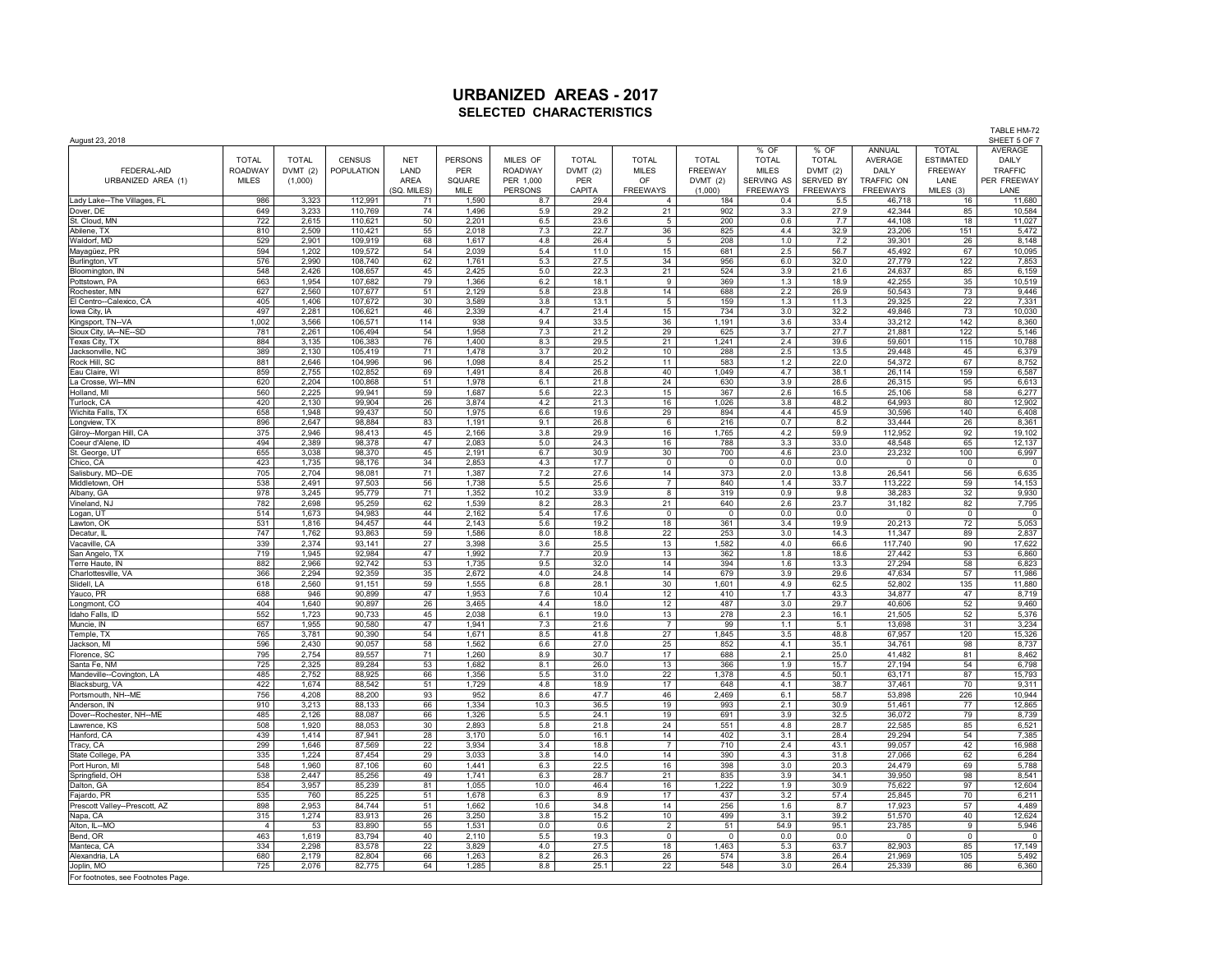TABLE HM-72<br>SHEET 5 OF 7 August 23, 2018 SHEET 5 OF 7 % OF % OF ANNUAL TOTAL AVERAGE<br>TOTAL TOTAL AVERAGE ESTIMATED DAILY TOTAL | TOTAL | CENSUS | NET |PERSONS | MILES OF | TOTAL | TOTAL | TOTAL | TOTAL | TOTAL | AVERAGE |ESTIMATED | DAILY FEDERAL-AID ROADWAY DVMT (2) POPULATION LAND PER ROADWAY DVMT (2) MILES FREEWAY MILES DVMT (2) DAILY FREEWAY TRAFFIC URBANIZED AREA (1) | MILES | (1,000) | | AREA | SQUARE | PER 1,000 | PER | OF | DVMT (2) |SERVING AS |SERVED BY | TRAFFIC ON | LANE |PER FREEWAY (SQ. MILES) | MILE | PERSONS | CAPITA | FREEWAYS | (1,000) | FREEWAYS | FREEWAYS | FREEWAYS | MILES (3) | LANE Lady Lake--The Villages, FL | 986 | 3,323 | 112,991 | 71 | 1,590 | 8.7 | 29.4 | 18 | 18 | 18 | 18 | 18 | 10 | 11,680 Dover, DE 649 3,233 110,769 74 1,496 5.9 29.2 21 902 3.3 27.9 42,344 85 10,584 St. Cloud, MN 2,2 110,621 | 50 | 2,201 | 6.5 | 23.6 | 5 | 200 | 0.6 | 7.7 | 44,108 | 18 | 11,027 Abilene, TX | 810 | 2,509 | 110,421 | 55 | 2,018 | 7.3 | 22.7 | 36 | 825 | 4.4 | 32.9 | 23,206 | 151 | 5,472 Waldorf, MD | 529 | 2,901 | 109,919 | 68 | 1,617 | 4.8 | 26.4 | 5 | 208 | 1.0 | 7.2 | 39,301 | 26 | 8,148 Mayagüez, PR | 594 | 1,202 | 109,572 | 54 | 2,039 | 5.4 | 11.0 | 15 | 681 | 2.5 | 56.7 | 45,492 | 67 | 10,095 Burlington, VT 576 | 2,990 | 108,740 | 62 | 1,761 | 5.3 | 27.5 | 34 | 956 | 6.0 | 32.0 | 27,779 | 122 | 7,853 Bloomington, IN | 548 | 2,426 | 108,657 | 45 | 2,425 | 5.0 | 22.3 | 11 | 524 | 3.9 | 21.6 | 24,637 | 85 | 6,159 Pottstown, PA 663 | 1,954 | 107,682 | 79 | 1,366 | 6.2 | 18.1 | 9 | 369 | 1.3 | 18.9 | 42,255 | 35 | 10,519 Rochester, MN 627 | 2,560 | 107,677 | 51 | 2,129 | 5.8 | 23.8 | 14 | 688 | 2.2 | 26.9 | 50,543 | 73 | 9,446 El Centro--Calexico, CA | 405 | 1,406 | 107,672 | 3.0 | 3,589 | 13.1 | 5 | 1.5 | 1.3 | 11.3 | 29,325 | 22 | 7,331 lowa City, IA 2,281 | 106,621 | 46 | 2,339 | 4.7 | 21.4 | 13 | 73 | 10,030 | 73 | 10,030 Kingsport, TN-VA | 1,002 | 3,566 | 106,571 | 114 | 938 | 9.4 | 33.5 | 36 | 1,91 | 36 | 33.4 | 33,212 | 142 | 8,360 Sioux City, IA--NE--SD 781 | 2,261 | 106,494 | 54 | 1,958 | 7.3 | 21.2 | 29 | 625 | 3.7 | 27.7 | 21,881 | 122 | 5,146 Texas City, TX 884 | 3,135 | 106,383 | 76 | 1,400 | 8.3 | 29.5 | 1,241 | 2.4 | 39.6 | 59,601 | 115 | 10,788 Jacksonville, NC | 389 | 2,130 | 105,419 | 71 | 1,478 | 3.7 | 20.2 | 10 | 288 | 2.5 | 13.5 | 29,448 | 45 | 6,379 Rock Hill, SC 881 | 2,646 | 104,996 | 96 | 1,098 | 8.4 | 25.2 | 11 | 583 | 1.2 | 22.0 | 54,372 | 67 | 8,752 Eau Claire, WI 859 | 2,755 | 102,852 | 69 | 1,491 | 8.4 | 26.8 | 40 | 1,049 | 4.7 | 38.1 | 26,114 | 159 | 6,587 La Crosse, WI--MN 620 | 2,204 | 100,868 | 51 | 1,978 | 6.1 | 21.8 | 630 | 3.9 | 28.6 | 26.315 | 95 | 6,613 Holland, MI | 560 | 2,225 | 99,941 | 59 | 1,687 | 5.6 | 22.3 | 15 | 367 | 2.6 | 1.65 | 25,106 | 58 | 6,277 Turlock, CA 420 2,130 99,904 26 3,874 4.2 21.3 16 1,026 3.8 48.2 64,993 80 12,902 Wichita Falls, TX | 658 | 1,948 | 99,437 | 50 | 1,975 | 6.6 | 19.6 | 894 | 4.4 | 4.5.9 | 30,596 | 140 | 6,408 Longview, TX | 896 | 2,647 | 98,884 | 83 | 1,191 | 9.1 | 26.8 | 6 | 216 | 8,251 | 8,261 | 8,361 | 8,361 | Gilroy--Morgan Hill, CA 375 | 2,946 | 98,413 | 45 | 2,166 | 3.8 | 29.9 | 16 | 1,765 | 4.2 | 59.9 | 112,952 | 92 | 19,102 Coeurd'Alene, ID | 494 | 2,389 | 98,378 | 47 | 2,083 | 5.0 | 24.3 | 16 | 788 | 3.3 | 33.0 | 48,548 | 65 | 12,137 St. George, UT | 655 | 3,038 | 98,370 | 45 | 2,191 | 6.7 | 30.9 | 700 | 4.6 | 23.0 | 23.232 | 100 | 6,997 Chico, CA | 423 | 1,735 | 98,176 | 34 | 2,853 | 4.3 | 17.7 | 0 | 0 | 0 | 0 | 0 0 | 0 Salisbury, MD--DE 705 2,704 98,081 71 1,387 7.2 27.6 14 373 2.0 13.8 26,541 56 6,635 Middletown, OH | 538 | 2,491 | 97,503 | 56 | 1,738 | 25.6 | 7 | 840 | 1.4 | 33.7 | 113,222 | 59 | 14,153 Albany, GA | 978 | 3,245 | 95,779 | 71 | 1,352 | 10.2 | 33.9 | 8 | 31 | 9,930 | 32 | 9,930 Vineland, NJ 782 | 2,698 | 95,259 | 62 | 1,539 | 8.2 | 28.3 | 11 | 640 | 2.6 | 2.7 | 31,182 | 82 | 7,795 Logan, UT 514 1,673 94,983 44 2,162 5.4 17.6 0 0 0.0 0.0 0 0 0 Lawton, OK | 531 | 1,816 | 94,457 | 44 | 2,143 | 5.6 | 19.2 | 361 | 361 | 3.4 | 19.9 | 20,213 | 72 | 5,053 Decatur, IL 747 | 1,762 | 93,863 | 59 | 1,586 | 8.0 | 18.8 | 22 | 253 | 3.0 | 14.3 | 11,347 | 89 | 2,837 Vacaville, CA 2,374 93,141 27 | 3,398 | 3.6 | 25.5 | 13 | 1,582 | 4.0 | 66.6 | 117,740 | 90 | 17,622 San Angelo, TX 719 | 1,945 | 92,984 | 47 | 1,992 | 7.7 | 20.9 | 13 | 362 | 1.8 | 18.6 | 27,442 | 53 | 6,860 Terre Haute, IN 882 | 2,966 | 92,742 | 53 | 1,735 | 9.5 | 32.0 | 14 | 394 | 1.6 | 13.3 | 27,294 | 58 | 6,823 Charlottesville, VA 366 | 2,294 | 92,359 | 35 | 2,672 | 4.0 | 24.8 | 167 | 3.9 | 29.6 | 47,634 | 57 | 11,986 Slidell, LA 618 1910 191, 151 59 1,555 6.8 28.1 30 1,601 4.9 62.5 52,802 135 1,880 1,601 52,802 135 11,880 152 Yauco, PR | 688 | 946 | 90,899 | 47 | 1,953 | 7.6 | 10.4 | 12 | 410 | 1.7 | 43.3 | 34,877 | 47 | 8,719 Longmont, CO | 404 | 1,640 | 90,897 | 26 | 3,465 | 4.4 | 18.0 | 487 | 43.0 | 29.7 | 40,606 | 52 | 9,460 Idaho Falls, ID 50 552 1,723 90,733 45 2,038 6.1 19.0 13 278 2.3 16.1 2.505 52 5,376 Muncie, IN | 657 | 1,955 | 90,580 | 47 | 1,941 | 7.3 | 21.6 | 7 | 99 | 1.1 | 5.1 | 13,698 | 31 | 3,234 Temple, TX 765 | 3,781 | 90,390 | 54 | 1,671 | 8.5 | 41.8 | 27 | 1,845 | 3.5 | 48.8 | 67,957 | 120 | 15,326 Jackson, MI | 596 | 2,430 | 90,057 | 58 | 1,562 | 6.6 | 27.0 | 852 | 4.1 | 35.1 | 34,761 | 98 | 8,737 Florence, SC 795 | 2,754 | 89,557 | 71 | 1,260 | 8.9 | 30.7 | 17 | 688 | 2.1 | 25.0 | 41,482 | 81 | 8,462 Santa Fe, NM 725 2,325 89,284 53 1,682 8.1 26.0 13 366 1.9 15.7 27,194 54 6,798 Mandeville--Covington, LA 485 | 2,752 | 88,925 | 66 | 1,356 | 5.5 | 31.0 | 22 | 1,378 | 4.5 | 50.1 | 63,171 | 87 | 15,793 Blacksburg, VA 422 1,674 88,542 51 1,729 4.8 18.9 17 648 4.1 38.7 37,461 70 9,311 Portsmouth, NH--ME 756 | 4,208 | 88,200 | 93 | 952 | 8.6 | 47.7 | 46 | 2,469 | 53,19 53,898 | 226 | 10,944 Anderson, IN 910 | 3,213 | 88,133 | 66 | 1,334 | 10.3 | 36.5 | 19 | 993 | 2.1 | 30.9 | 51,461 | 77 | 12,865 Dover--Rochester, NH--ME | 485 | 2,126 | 88,087 | 66 | 1,326 | 5.5 | 24.1 | 19 | 691 | 3.9 | 3.9 | 36,072 | 79 | 8,739 Lawrence, KS 508 | 1,920 | 88,053 | 30 | 2,893 | 5.8 | 21.8 | 54 | 551 | 4.8 | 28.7 | 22,585 | 65 | 6,521 Hanford, CA | 439 | 1,414 | 87,941 | 28 | 3,170 | 16.1 | 14 | 402 | 3.1 | 28.4 | 29,294 | 54 | 7,385 Tracy, CA | 299 | 1,646 | 87,569 | 22 | 3,934 | 3.4 | 18.8 | 7 | 710 | 2.4 | 43.1 | 99,057 | 42 | 16,988 State College, PA 335 | 1,224 | 87,454 | 29 | 3,033 | 3.8 | 14 | 390 | 4.3 | 31.8 | 27,066 | 62 | 6,284 Port Huron, MI 548 | 1,960 | 87,106 | 60 | 1,441 | 6.3 | 22.5 | 16 | 398 | 3.0 | 20.3 | 24,479 | 69 | 5,788 Springfield, OH 538 2,447 85,256 49 1,741 6.3 28.7 21 835 3.9 34.1 39,950 98 8,541 Dalton, GA | 854 | 3,957 | 85,239 | 81 | 1,055 | 10.0 | 46.4 | 16 | 1,222 | 1.9 | 12,504 | 12,604 | 12,604 Fajardo, PR | 535 | 760 | 85,225 | 51 | 1,678 | 6.3 | 8.9 | 17 | 437 | 3.2 | 5.4 | 25,845 | 70 | 6,211 Prescott Valley--Prescott, AZ | 898 | 2,953 | 84,744 | 51 | 1,662 | 10.6 | 34.8 | 14 | 256 | 1.6 | 8.7 | 17,923 | 57 | 4,489 Napa, CA | 315 | 1,274 | 83,913 | 26 | 3,250 | 3.8 | 105 | 499 | 3.1 | 39.2 | 51,570 | 40 | 12,624 Alton, IL--MO | 4 | 53 | 83,890 | 55 | 1,531 | 0.0 | 0.6 | 2 | 54.9 | 5,946 | 9 | 5,946 Bend, OR | 463 | 1,619 | 83,794 | 40 | 2,110 | 5.5 | 19.3 | 0 | 0 | 0 | 0 | 0 | 0 Manteca, CA | 334 | 2,298 | 83,578 | 22 | 3,829 | 4.0 | 27.5 | 18 | 1,463 | 53 | 63.7 | 82,903 | 85 | 17,149 Alexandria, LA 680 | 2,179 | 82,804 | 66 | 1,263 | 8.2 | 26.3 | 26 | 574 | 3.8 | 26.4 | 21,969 | 105 | 5,492 Joplin, MO 725 | 2,076 | 82,775 | 64 | 1,285 | 8.8 | 25.1 | 22 | 548 | 3.0 | 26.4 | 25,339 | 86 | 6,360 | 3.0 |

For footnotes, see Footnotes Page.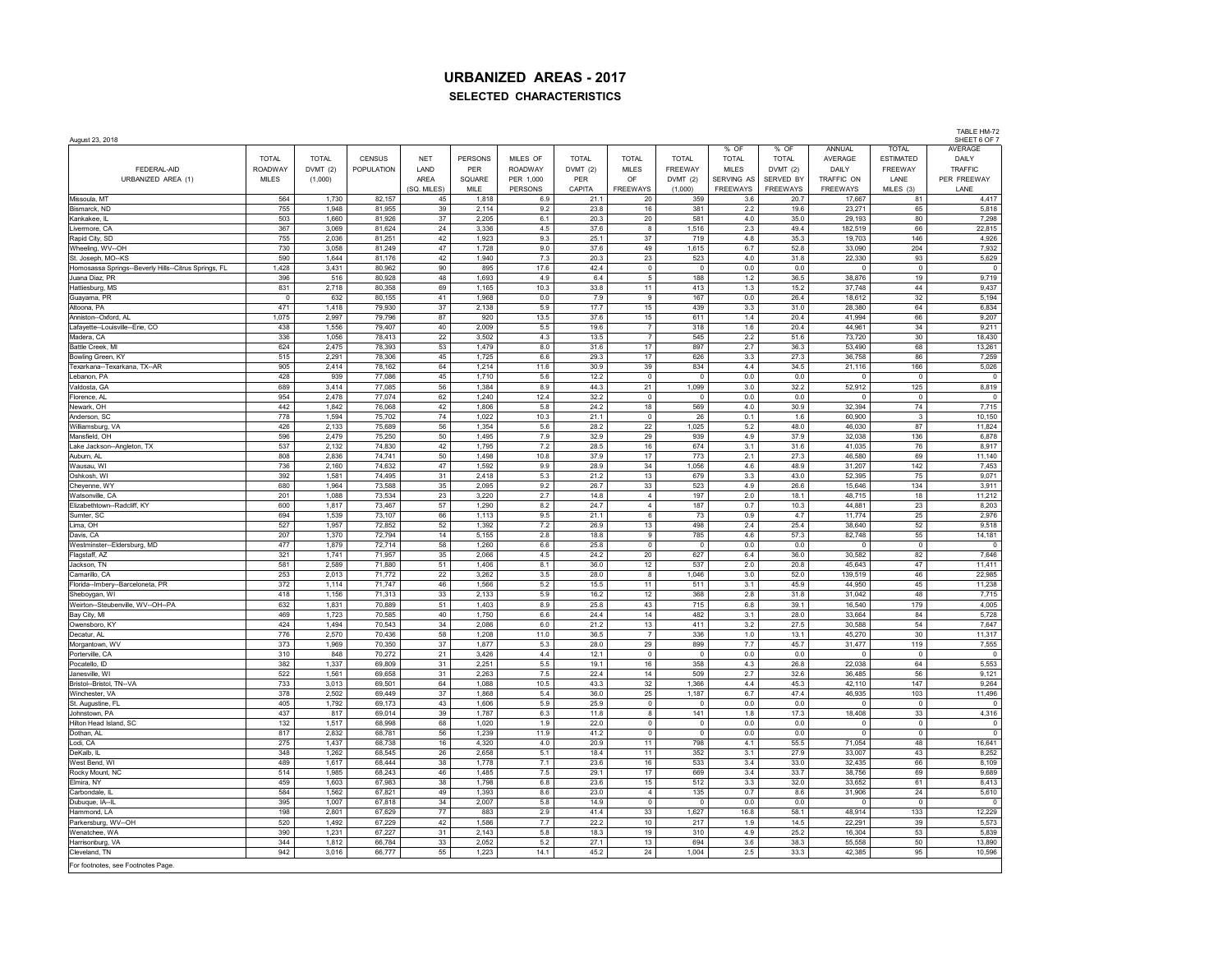|                                                      |              |                |                  |                |                |                |              |                         |                         |                |              |                  |                         | TABLE HM-72             |
|------------------------------------------------------|--------------|----------------|------------------|----------------|----------------|----------------|--------------|-------------------------|-------------------------|----------------|--------------|------------------|-------------------------|-------------------------|
| August 23, 2018                                      |              |                |                  |                |                |                |              |                         |                         | % OF           | % OF         | ANNUAL           | <b>TOTAL</b>            | SHEET 6 OF 7<br>AVERAGE |
|                                                      | <b>TOTAL</b> | <b>TOTAL</b>   | CENSUS           | <b>NFT</b>     | <b>PERSONS</b> | MILES OF       | <b>TOTAL</b> | <b>TOTAL</b>            | <b>TOTAL</b>            | <b>TOTAL</b>   | <b>TOTAL</b> | AVERAGE          | <b>ESTIMATED</b>        | DAILY                   |
| FEDERAL-AID                                          | ROADWAY      | DVMT (2)       | POPULATION       | LAND           | <b>PER</b>     | <b>ROADWAY</b> | DVMT(2)      | <b>MILES</b>            | FREEWAY                 | <b>MILES</b>   | DVMT (2)     | DAILY            | FREEWAY                 | <b>TRAFFIC</b>          |
| URBANIZED AREA (1)                                   | MII FS       | (1,000)        |                  | ARFA           | SQUARE         | PER 1,000      | PFR          | OF                      | DVMT(2)                 | SERVING AS     | SERVED BY    | TRAFFIC ON       | I ANF                   | PER FREEWAY             |
|                                                      |              |                |                  | (SQ. MILES)    | MILE           | PERSONS        | CAPITA       | FREEWAYS                | (1,000)                 | FREEWAYS       | FREEWAYS     | <b>FREEWAYS</b>  | MILES (3)               | LANE                    |
| Missoula, MT<br>Bismarck, ND                         | 564<br>755   | 1,730<br>1.948 | 82,157<br>81,955 | 45<br>39       | 1,818<br>2,114 | 6.9<br>9.2     | 21.1<br>23.8 | 20<br>16                | 359<br>381              | 3.6<br>$2.2\,$ | 20.7<br>19.6 | 17,667<br>23,271 | 81<br>65                | 4,417<br>5,818          |
| Kankakee, IL                                         | 503          | 1.660          | 81,926           | 37             | 2,205          | 6.1            | 20.3         | 20                      | 581                     | $4.0\,$        | 35.0         | 29, 193          | 80                      | 7,298                   |
| Livermore, CA                                        | 367          | 3,069          | 81,624           | 24             | 3,336          | 4.5            | 37.6         | 8                       | 1,516                   | 2.3            | 49.4         | 182,519          | 66                      | 22,815                  |
| Rapid City, SD                                       | 755          | 2.036          | 81.251           | 42             | 1.923          | 9.3            | 25.1         | $37\,$                  | 719                     | 4.8            | 35.3         | 19.703           | 146                     | 4,926                   |
| Wheeling, WV--OH                                     | 730          | 3,058          | 81,249           | 47             | 1,728          | 9.0            | 37.6         | 49                      | 1,615                   | 6.7            | 52.8         | 33,090           | 204                     | 7,932                   |
| St. Joseph, MO--KS                                   | 590          | 1,644          | 81,176           | 42             | 1,940          | 7.3            | 20.3         | 23                      | 523                     | 4.0            | 31.8         | 22,330           | 93                      | 5,629                   |
| Homosassa Springs--Beverly Hills--Citrus Springs, FL | 1,428        | 3,431          | 80,962           | 90             | 895            | 17.6           | 42.4         | $\mathsf 0$             | $\mathbf 0$             | 0.0            | 0.0          | $\overline{0}$   | $\mathbf 0$             | $\mathbb O$             |
| Juana Diaz, PR<br>Hattiesburg, MS                    | 396<br>831   | 516<br>2,718   | 80,928<br>80,358 | 48<br>69       | 1,693<br>1,165 | 4.9<br>10.3    | 6.4<br>33.8  | 5<br>11                 | 188<br>413              | 1.2<br>1.3     | 36.5<br>15.2 | 38,876<br>37,748 | 19<br>44                | 9,719<br>9,437          |
| Guayama, PR                                          | $\circ$      | 632            | 80,155           | 41             | 1,968          | 0.0            | 7.9          | 9                       | 167                     | 0.0            | 26.4         | 18,612           | 32                      | 5,194                   |
| Altoona, PA                                          | 471          | 1,418          | 79,930           | $37\,$         | 2,138          | 5.9            | 17.7         | 15                      | 439                     | 3.3            | 31.0         | 28,380           | 64                      | 6,834                   |
| Anniston-Oxford, AL                                  | 1,075        | 2,997          | 79,796           | 87             | 920            | 13.5           | 37.6         | 15                      | 611                     | $1.4$          | 20.4         | 41,994           | 66                      | 9,207                   |
| Lafayette--Louisville--Erie, CO                      | 438          | 1,556          | 79,407           | $40\,$         | 2,009          | $5.5\,$        | 19.6         | $\overline{7}$          | 318                     | 1.6            | 20.4         | 44,961           | 34                      | 9,211                   |
| Madera, CA                                           | 336          | 1,056          | 78,413           | 22             | 3,502          | 4.3            | 13.5         | $\overline{7}$          | 545                     | 2.2            | 51.6         | 73,720           | 30                      | 18,430                  |
| Battle Creek, MI                                     | 624          | 2,475          | 78,393           | 53             | 1,479          | 8.0            | 31.6         | $17\,$                  | 897                     | 2.7            | 36.3         | 53,490           | 68                      | 13,261                  |
| Bowling Green, KY<br>Texarkana--Texarkana, TX--AR    | 515<br>905   | 2,291<br>2,414 | 78,306           | $\bf 45$<br>64 | 1,725          | 6.6<br>11.6    | 29.3<br>30.9 | 17<br>39                | 626                     | 3.3<br>44      | 27.3<br>34.5 | 36,758<br>21,116 | 86<br>166               | 7,259                   |
| Lebanon, PA                                          | 428          | 939            | 78,162<br>77,086 | 45             | 1,214<br>1,710 | 5.6            | 12.2         | $\mathbb O$             | 834<br>$\mathbf 0$      | 0.0            | 0.0          | $\Omega$         | $\mathbf 0$             | 5,026<br>$\overline{0}$ |
| Valdosta, GA                                         | 689          | 3,414          | 77,085           | 56             | 1,384          | 8.9            | 44.3         | 21                      | 1,099                   | 3.0            | 32.2         | 52,912           | 125                     | 8,819                   |
| Florence, AL                                         | 954          | 2,478          | 77,074           | 62             | 1,240          | 12.4           | 32.2         | $\overline{\mathbf{0}}$ | $\Omega$                | 0.0            | 0.0          | $\Omega$         | $\overline{0}$          | $\overline{0}$          |
| Newark, OH                                           | 442          | 1,842          | 76,068           | 42             | 1,806          | 5.8            | 24.2         | 18                      | 569                     | 4.0            | 30.9         | 32.394           | 74                      | 7,715                   |
| Anderson, SC                                         | 778          | 1,594          | 75,702           | 74             | 1,022          | 10.3           | 21.1         | $\overline{0}$          | 26                      | 0.1            | 1.6          | 60,900           | $\overline{\mathbf{3}}$ | 10,150                  |
| Williamsburg, VA                                     | 426          | 2,133          | 75.689           | 56             | 1,354          | 5.6            | 28.2         | 22                      | 1.025                   | 5.2            | 48.0         | 46.030           | 87                      | 11,824                  |
| Mansfield, OH                                        | 596<br>537   | 2,479<br>2,132 | 75,250<br>74,830 | 50<br>42       | 1,495<br>1,795 | 7.9<br>7.2     | 32.9<br>28.5 | 29<br>16                | 939<br>674              | 4.9<br>3.1     | 37.9<br>31.6 | 32,038<br>41,035 | 136<br>76               | 6,878<br>8,917          |
| Lake Jackson--Angleton, TX<br>Auburn, Al             | 808          | 2,836          | 74,741           | 50             | 1,498          | 10.8           | 37.9         | 17                      | 773                     | 2.1            | 27.3         | 46,580           | 69                      | 11,140                  |
| Wausau, WI                                           | 736          | 2,160          | 74,632           | 47             | 1,592          | 9.9            | 28.9         | 34                      | 1,056                   | 4.6            | 48.9         | 31,207           | 142                     | 7,453                   |
| Oshkosh, WI                                          | 392          | 1,581          | 74,495           | 31             | 2,418          | 5.3            | 21.2         | 13                      | 679                     | 3.3            | 43.0         | 52,395           | 75                      | 9,071                   |
| Cheyenne, WY                                         | 680          | 1,964          | 73,588           | 35             | 2,095          | 9.2            | 26.7         | 33                      | 523                     | 4.9            | 26.6         | 15,646           | 134                     | 3,911                   |
| Watsonville, CA                                      | 201          | 1,088          | 73,534           | 23             | 3,220          | 2.7            | 14.8         | $\overline{4}$          | 197                     | 2.0            | 18.1         | 48.715           | 18                      | 11,212                  |
| Elizabethtown -- Radcliff, KY                        | 600          | 1,817          | 73,467           | 57             | 1,290          | 8.2            | 24.7         | $\overline{4}$          | 187                     | 0.7            | 10.3         | 44,881           | 23                      | 8,203                   |
| Sumter, SC                                           | 694<br>527   | 1,539<br>1,957 | 73,107<br>72,852 | 66             | 1,113          | 9.5            | 21.1<br>26.9 | 6                       | 73<br>498               | 0.9            | 4.7<br>25.4  | 11,774<br>38,640 | 25<br>52                | 2,976                   |
| Lima, OH<br>Davis, CA                                | 207          | 1,370          | 72,794           | 52<br>14       | 1,392<br>5,155 | $7.2\,$<br>2.8 | 18.8         | 13<br>$\boldsymbol{9}$  | 785                     | $2.4\,$<br>4.6 | 57.3         | 82,748           | 55                      | 9,518<br>14,181         |
| Westminster--Eldersburg, MD                          | 477          | 1,879          | 72,714           | 58             | 1,260          | 6.6            | 25.8         | $\mathbb O$             | $\circ$                 | 0.0            | 0.0          | $\overline{0}$   | $\mathbf 0$             | $\overline{0}$          |
| Flagstaff, AZ                                        | 321          | 1,741          | 71,957           | 35             | 2,066          | 4.5            | 24.2         | 20                      | 627                     | 6.4            | 36.0         | 30,582           | 82                      | 7,646                   |
| Jackson, TN                                          | 581          | 2,589          | 71,880           | 51             | 1,406          | 8.1            | 36.0         | 12                      | 537                     | 2.0            | 20.8         | 45,643           | $47\,$                  | 11,411                  |
| Camarillo, CA                                        | 253          | 2,013          | 71,772           | $22\,$         | 3,262          | $3.5\,$        | 28.0         | 8                       | 1,046                   | 3.0            | 52.0         | 139,519          | 46                      | 22,985                  |
| Florida--Imbery--Barceloneta, PR                     | 372          | 1,114          | 71,747           | 46             | 1.566          | 5.2            | 15.5         | 11                      | 511                     | 3.1            | 45.9         | 44.950           | 45                      | 11,238                  |
| Sheboygan, WI                                        | 418<br>632   | 1,156<br>1,831 | 71,313<br>70,889 | 33<br>51       | 2,133<br>1,403 | 5.9<br>8.9     | 16.2<br>25.8 | 12<br>43                | 368                     | 2.8            | 31.8<br>39.1 | 31,042<br>16.540 | 48<br>179               | 7,715<br>4,005          |
| Weirton--Steubenville, WV--OH--PA<br>Bay City, MI    | 469          | 1.723          | 70.585           | 40             | 1.750          | 6.6            | 24.4         | 14                      | 715<br>482              | $6.8\,$<br>3.1 | 28.0         | 33.664           | 84                      | 5.728                   |
| Owensboro, KY                                        | 424          | 1,494          | 70,543           | 34             | 2,086          | 6.0            | 21.2         | 13                      | 411                     | 3.2            | 27.5         | 30,588           | 54                      | 7,647                   |
| Decatur, AL                                          | 776          | 2,570          | 70,436           | 58             | 1,208          | 11.0           | 36.5         | $\overline{7}$          | 336                     | 1.0            | 13.1         | 45,270           | 30                      | 11,317                  |
| Morgantown, WV                                       | 373          | 1,969          | 70,350           | 37             | 1,877          | 5.3            | 28.0         | 29                      | 899                     | 7.7            | 45.7         | 31,477           | 119                     | 7,555                   |
| Porterville, CA                                      | 310          | 848            | 70,272           | 21             | 3,426          | 4.4            | 12.1         | $\overline{\mathbf{0}}$ | $\overline{\mathbf{0}}$ | 0.0            | 0.0          | 0                | $\mathbf 0$             | $\overline{\mathbf{0}}$ |
| Pocatello, ID                                        | 382          | 1,337          | 69,809<br>69.658 | 31             | 2,251          | 5.5            | 19.1         | 16                      | 358                     | 4.3            | 26.8         | 22,038<br>36.485 | 64                      | 5,553                   |
| Janesville, WI<br>Bristol--Bristol, TN--VA           | 522<br>733   | 1,561<br>3,013 | 69,501           | 31<br>64       | 2,263<br>1,088 | 7.5<br>10.5    | 22.4<br>43.3 | 14<br>32                | 509<br>1,366            | 2.7<br>4.4     | 32.6<br>45.3 | 42,110           | 56<br>147               | 9,121<br>9,264          |
| Winchester, VA                                       | 378          | 2,502          | 69,449           | 37             | 1,868          | 5.4            | 36.0         | 25                      | 1,187                   | 6.7            | 47.4         | 46,935           | 103                     | 11,496                  |
| St. Augustine, FL                                    | 405          | 1,792          | 69,173           | 43             | 1,606          | 5.9            | 25.9         | $\mathsf 0$             | $\overline{0}$          | 0.0            | $0.0\,$      | $\overline{0}$   | $\mathsf 0$             | $\mathbf 0$             |
| Johnstown, PA                                        | 437          | 817            | 69,014           | 39             | 1,787          | 6.3            | 11.8         | 8                       | 141                     | 1.8            | 17.3         | 18,408           | $33\,$                  | 4,316                   |
| Hilton Head Island, SC                               | 132          | 1,517          | 68,998           | 68             | 1,020          | 1.9            | 22.0         | $\mathbf 0$             | $\mathbf 0$             | 0.0            | 0.0          | $\overline{0}$   | $\mathbb O$             | $\mathbf 0$             |
| Dothan, AL                                           | 817          | 2,832          | 68,781           | 56             | 1,239          | 11.9           | 41.2         | $\mathbb O$             | $\circ$                 | 0.0            | 0.0          | $\overline{0}$   | $\mathbb O$             | $\mathbb O$             |
| Lodi, CA                                             | 275          | 1,437          | 68,738           | 16             | 4,320          | $4.0$          | 20.9         | 11                      | 798                     | 4.1            | 55.5         | 71,054           | 48                      | 16,641                  |
| DeKalb, IL<br>West Bend, WI                          | 348<br>489   | 1,262<br>1,617 | 68,545<br>68,444 | 26<br>38       | 2,658<br>1,778 | 5.1<br>7.1     | 18.4<br>23.6 | 11<br>$16\,$            | 352<br>533              | 3.1<br>3.4     | 27.9<br>33.0 | 33,007<br>32,435 | 43<br>66                | 8,252<br>8,109          |
| Rocky Mount, NC                                      | 514          | 1,985          | 68,243           | $46\,$         | 1,485          | 7.5            | 29.1         | $17$                    | 669                     | 3.4            | 33.7         | 38,756           | 69                      | 9,689                   |
| Elmira, NY                                           | 459          | 1,603          | 67,983           | 38             | 1,798          | $6.8\,$        | 23.6         | 15                      | 512                     | 3.3            | 32.0         | 33,652           | 61                      | 8,413                   |
| Carbondale, II                                       | 584          | 1,562          | 67,821           | 49             | 1,393          | 8.6            | 23.0         | $\overline{4}$          | 135                     | 0.7            | 8.6          | 31,906           | 24                      | 5,610                   |
| Dubuque, IA--II                                      | 395          | 1,007          | 67,818           | 34             | 2,007          | $5.8\,$        | 14.9         | $\mathbf 0$             | $\,0\,$                 | 0.0            | $0.0\,$      | $\circ$          | $\mathbb O$             | $\Omega$                |
| Hammond, LA                                          | 198          | 2,801          | 67,629           | 77             | 883            | 2.9            | 41.4         | $33\,$                  | 1,627                   | 16.8           | 58.1         | 48,914           | 133                     | 12,229                  |
| Parkersburg, WV--OH                                  | 520          | 1,492          | 67,229           | 42             | 1,586          | 7.7            | 22.2         | 10                      | 217                     | 1.9            | 14.5         | 22,291           | 39                      | 5,573                   |
| Wenatchee, WA                                        | 390<br>344   | 1,231          | 67,227           | 31             | 2,143          | 5.8            | 18.3         | 19                      | 310<br>694              | 4.9<br>3.6     | 25.2<br>38.3 | 16,304<br>55.558 | 53                      | 5,839                   |
| Harrisonburg, VA<br>Cleveland, TN                    | 942          | 1,812<br>3,016 | 66,784<br>66,777 | 33<br>55       | 2,052<br>1,223 | 5.2<br>14.1    | 27.1<br>45.2 | 13<br>24                | 1,004                   | 2.5            | 33.3         | 42,385           | 50<br>95                | 13,890<br>10,596        |
|                                                      |              |                |                  |                |                |                |              |                         |                         |                |              |                  |                         |                         |
| For footnotes, see Footnotes Page.                   |              |                |                  |                |                |                |              |                         |                         |                |              |                  |                         |                         |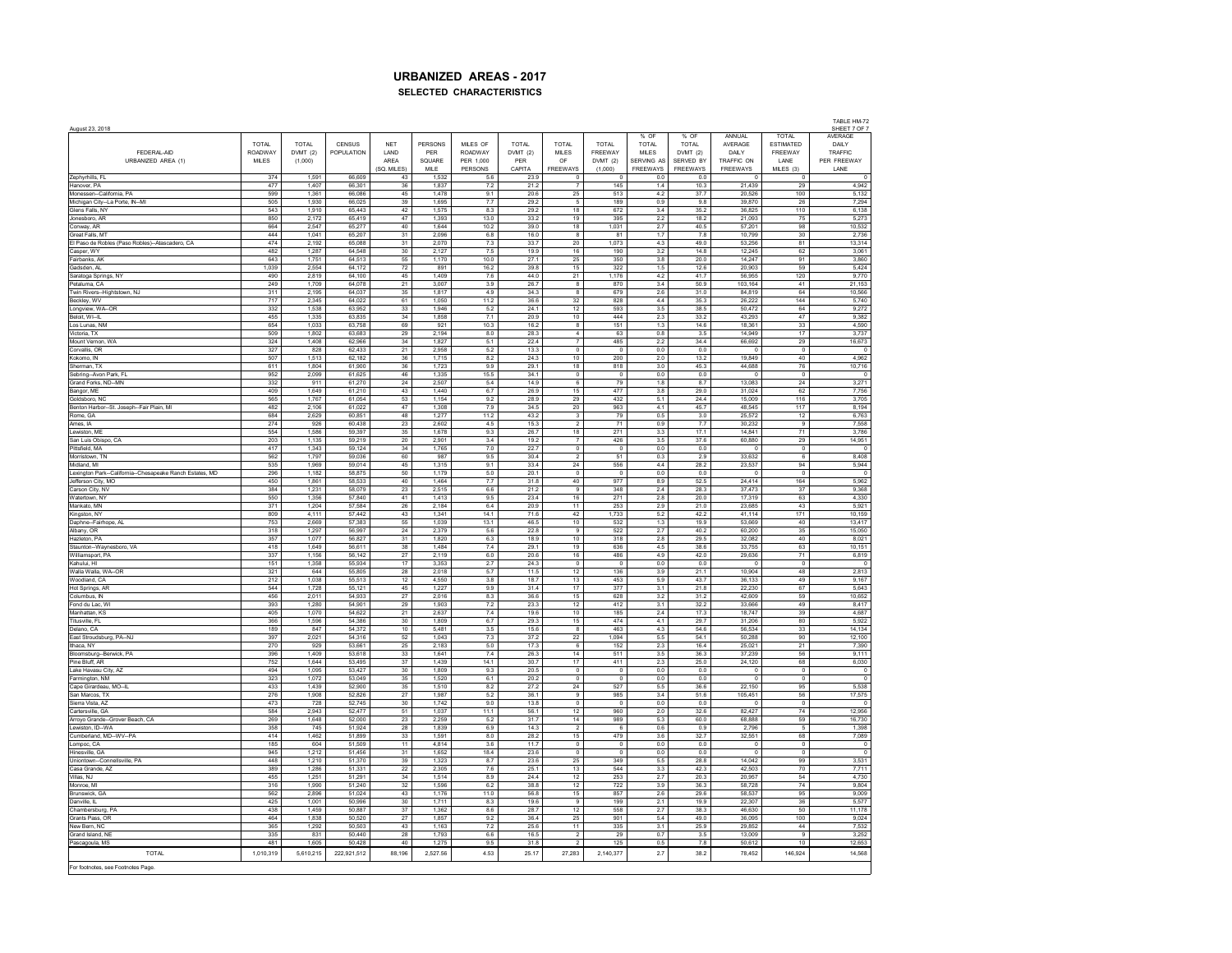| August 23, 2018                                          |              |                |                   |                  |                |                |              |                                           |                          |                   |                 |                         |                 | SHEET 7 OF 7     |
|----------------------------------------------------------|--------------|----------------|-------------------|------------------|----------------|----------------|--------------|-------------------------------------------|--------------------------|-------------------|-----------------|-------------------------|-----------------|------------------|
|                                                          |              |                |                   |                  |                |                |              |                                           |                          | % OF              | % OF            | <b>ANNUAL</b>           | <b>TOTAL</b>    | AVERAGE          |
|                                                          | <b>TOTAL</b> | <b>TOTAL</b>   | CENSUS            | <b>NET</b>       | PERSONS        | MILES OF       | <b>TOTAL</b> | <b>TOTAL</b>                              | <b>TOTAL</b>             | <b>TOTAL</b>      | <b>TOTAL</b>    | AVERAGE                 | ESTIMATED       | DAILY            |
| FEDERAL-AID                                              | ROADWAY      | DVMT(2)        | <b>POPULATION</b> | LAND             | PER            | <b>ROADWAY</b> | DVMT (2)     | <b>MILES</b>                              | FREEWAY                  | <b>MILES</b>      | DVMT(2)         | DAILY                   | FREEWAY         | TRAFFIC          |
| URBANIZED AREA (1)                                       | <b>MILES</b> | (1,000)        |                   | ARFA             | SQUARE         | PER 1.000      | PER          | OF                                        | DVMT (2)                 | <b>SERVING AS</b> | SERVED BY       | TRAFFIC ON              | <b>I ANF</b>    | PER FREEWAY      |
|                                                          |              |                |                   | (SQ, MILES)      | MILE           | PERSONS        | CAPITA       | FREEWAYS                                  | (1,000)                  | FREEWAYS          | <b>FREEWAYS</b> | <b>FREEWAYS</b>         | MILES (3)       | LANE             |
| Zephyrhills, FL                                          | 374          | 1.591          | 66,609            | 43               | 1.532          | 5.6            | 23.9         | $\overline{0}$                            | - 0                      | 0.0               | 0.0             | $\Omega$                | $^{\circ}$      | $\circ$          |
| Hanover, PA                                              | 477          | 1,407          | 66,301            | 36               | 1,837          | 7.2            | 21.2         |                                           | 145                      | 1.4               | 10.3            | 21,439                  | 29              | 4,942            |
| Monessen--California, PA                                 | 599          | 1.361          | 66,086            | 45               | 1.478          | 9.1            | 20.6         | 25                                        | 513                      | 4.2               | 37.7            | 20,526                  | 100             | 5.132            |
| Michigan City--La Porte, IN--MI                          | 505          | 1.930          | 66.025            | 39               | 1.695          | 7.7            | 29.2         | 5                                         | 189                      | 0.9               | 9.8             | 39,870                  | 26              | 7.294            |
| Glens Falls, NY                                          | 543          | 1.910          | 65.443            | 42               | 1.575          | 8.3            | 29.2         | 18                                        | 672                      | 3.4               | 35.2            | 36,825                  | 110             | 6.138            |
| Jonesboro, AR                                            | 850          | 2,172          | 65,419            | 47               | 1,393          | 13.0           | 33.2         | 19                                        | 395                      | 2.2               | 18.2            | 21,093                  | 75              | 5,273            |
| Conway, AR                                               | 664          | 2,547          | 65,277            | 40               | 1,644          | 10.2           | 39.0         | 18                                        | 1,031                    | 2.7               | 40.5            | 57,201                  | 98              | 10,532           |
| <b>Great Falls MT</b>                                    | 444          | 1 041          | 65 207            | 31               | 2.096          | 68             | 16.0         | -8                                        | 81                       | 17                | 78              | 10 799                  | 30 <sub>o</sub> | 2 736            |
| El Paso de Robles (Paso Robles)--Atascadero, CA          | 474          | 2,192          | 65.088            | 31               | 2,070          | 7.3            | 33.7         | 20                                        | 1,073                    | 4.3               | 49.0            | 53,256                  | 81              | 13,314           |
| Casper, WY                                               | 482          | 1,287          | 64,548            | 30               | 2,127          | 7.5            | 19.9         | 16                                        | 190                      | 3.2               | 14.8            | 12.245                  | 62              | 3,061            |
| Fairbanks, AK                                            | 643          | 1.751          | 64.513            | 55               | 1,170          | 10.0           | 27.1         | 25                                        | 350                      | 3.8               | 20.0            | 14.247                  | 91              | 3,860            |
| Gadsden, AL                                              | 1,039        | 2.554          | 64,172            | 72               | 891            | 16.2           | 39.8         | 15                                        | 322                      | 1.5               | 12.6            | 20.903                  | 59              | 5,424            |
| Saratoga Springs, NY                                     | 490          | 2,819          | 64,100            | 45               | 1,409          | 7.6            | 44.0         | 21                                        | 1,176                    | 4.2               | 41.7            | 56,955                  | 120             | 9,770            |
| Petaluma, CA                                             | 249          | 1,709          | 64,078            | 21               | 3,007          | 3.9            | 26.7         | $\overline{\mathbf{8}}$                   | 870                      | 3.4               | 50.9            | 103,164                 | 41              | 21,153           |
| Twin Rivers--Hightstown, NJ                              | 311          | 2,195          | 64,037            | $35\,$           | 1,817          | $4.9\,$        | 34.3         | 8                                         | 679                      | $2.6\,$           | 31.0            | 84,819                  | 64              | 10,566           |
|                                                          | 717          | 2,345          |                   |                  | 1,050          | 11.2           |              | 32                                        |                          | 4.4               | 35.3            |                         | 144             | 5,740            |
| Beckley, WV<br>Longview, WA--OR                          | 332          | 1,538          | 64,022<br>63,952  | 61<br>33         | 1,946          | 5.2            | 36.6<br>24.1 | 12                                        | 828<br>593               | 3.5               | 38.5            | 26,222<br>50,472        | 64              | 9,272            |
| <b>Beloit Wi-II</b>                                      | 455          | 1 3 3 5        | 63835             | 34               | 1858           | 7.1            | 20.9         | 10 <sup>1</sup>                           | 444                      | 23                | 33.2            | 43 293                  | 47              | 9.382            |
|                                                          | 654          |                |                   |                  |                |                |              | 8                                         |                          | 1.3               |                 | 18.361                  |                 |                  |
| Los Lunas, NM                                            |              | 1,033          | 63,758            | 69               | 921            | 10.3           | 16.2         |                                           | 151                      |                   | 14.6            |                         | 33              | 4,590            |
| Victoria, TX                                             | 509          | 1,802          | 63.683            | 29               | 2,194          | 8.0            | 28.3         | $\overline{4}$                            | 63                       | 0.8               | 3.5             | 14.949                  | 17              | 3,737            |
| Mount Vernon, WA                                         | 324          | 1.408          | 62,966            | 34               | 1.827          | 5.1            | 22.4         | $\overline{\phantom{a}}$                  | 485                      | 2.2               | 34.4            | 66.692                  | 29              | 16,673           |
| Corvallis, OR                                            | 327          | 828            | 62.433            | 21               | 2.958          | 5.2            | 13.3         | $\overline{0}$                            | $\Omega$                 | 0.0               | 0.0             | $\Omega$                | $\Omega$        | $\Omega$         |
| Kokomo, IN                                               | 507          | 1,513          | 62,182            | 36               | 1,715          | 8.2            | 24.3         | 10                                        | 200                      | 2.0               | 13.2            | 19,849                  | 40              | 4,962            |
| Sherman, TX                                              | 611          | 1,804          | 61,900            | 36               | 1,723          | 9.9            | 29.1         | 18                                        | 818                      | 3.0               | 45.3            | 44,688                  | 76              | 10,716           |
| Sebring--Avon Park, FL                                   | 952          | 2.099          | 61.625            | 46               | 1.335          | 15.5           | 34.1         | $\overline{0}$                            | $^{\circ}$               | 0.0               | 0.0             | $\circ$                 | $\circ$         | $\overline{0}$   |
| Grand Forks, ND--MN                                      | 332          | 911            | 61,270            | $\mathbf{^{24}}$ | 2,507          | $5.4\,$        | 14.9         | 6                                         | 79                       | $1.8\,$           | 8.7             | 13,083                  | 24              | 3,271            |
| Bangor, ME                                               | 409          | 1,649          | 61,210            | 43               | 1,440          | 6.7            | 26.9         | 15                                        | 477                      | 3.8               | 29.0            | 31,024                  | 62              | 7,756            |
| Goldsboro, NC                                            | 565          | 1.767          | 61 054            | 53               | 1 1 5 4        | 92             | 28.9         | 29                                        | 432                      | 51                | 24.4            | 15 009                  | 116             | 3.705            |
| Benton Harbor-St. Joseph -- Fair Plain, MI               | 482          | 2,106          | 61,022            | 47               | 1,308          | 7.9            | 34.5         | $20\,$                                    | 963                      | 4.1               | 45.7            | 48,545                  | 117             | 8,194            |
| Rome, GA                                                 | 684          | 2,629          | 60,851            | 48               | 1,277          | 11.2           | 43.2         | $\overline{\mathbf{3}}$                   | 79                       | 0.5               | 3.0             | 25,572                  | 12              | 6,763            |
| Ames, IA                                                 | 274          | 926            | 60.438            | 23               | 2.602          | 4.5            | 15.3         | $\overline{2}$                            | 71                       | 0.9               | 7.7             | 30.232                  | 9               | 7.558            |
| Lewiston, ME                                             | 554          | 1.586          | 59,397            | 35               | 1,678          | 9.3            | 26.7         | 18                                        | 271                      | $3.3\,$           | 17.1            | 14.841                  | 71              | 3,786            |
| San Luis Obispo, CA                                      | 203          | 1,135          | 59,219            | 20               | 2,901          | 3.4            | 19.2         | $\overline{7}$                            | 426                      | 3.5               | 37.6            | 60,880                  | 29              | 14,951           |
| Pittsfield, MA                                           | 417          | 1,343          | 59,124            | 34               | 1,765          | 7.0            | 22.7         | $\overline{\phantom{a}}$                  | $\overline{\mathbf{0}}$  | 0.0               | 0.0             | $\circ$                 | $\overline{0}$  | $\circ$          |
| Morristown TN                                            | 562          | 1,797          | 59 036            | 60               | 987            | 9.5            | 30.4         | $\overline{2}$                            | 51                       | 0.3               | 2.9             | 33 632                  | -6              | 8.408            |
|                                                          |              |                |                   | 45               |                |                | 33.4         |                                           |                          | 4.4               |                 |                         | 94              |                  |
| Midland, MI                                              | 535<br>296   | 1,969<br>1,182 | 59,014<br>58.875  | 50               | 1,315<br>1.179 | 9.1<br>5.0     | 20.1         | $\mathbf{24}$<br>$\overline{\phantom{a}}$ | 556<br>$\overline{0}$    | 0.0               | 28.2<br>0.0     | 23,537<br>$\circ$       | $\circ$         | 5,944<br>$\circ$ |
| Lexington Park--California--Chesapeake Ranch Estates, MD |              |                |                   |                  |                |                |              |                                           |                          |                   |                 |                         |                 |                  |
| Jefferson City, MO                                       | 450          | 1,861          | 58,533            | 40               | 1,464          | 7.7            | 31.8         | 40                                        | 977                      | 8.9               | 52.5            | 24.414                  | 164             | 5,962            |
| Carson City, NV                                          | 384          | 1,231          | 58,079            | 23               | 2.515          | 66             | 212          | $\mathbf{Q}$                              | 348                      | 24                | 28.3            | 37.473                  | 37              | 9.368            |
| Watertown, NY                                            | 550          | 1,356          | 57,840            | 41               | 1,413          | 9.5            | 23.4         | 16                                        | 271                      | $2.8\,$           | 20.0            | 17,319                  | 63              | 4,330            |
| Mankato, MN                                              | 371          | 1.204          | 57,584            | 26               | 2.184          | 6.4            | 20.9         | 11                                        | 253                      | 2.9               | 21.0            | 23.685                  | 43              | 5.921            |
| Kingston, NY                                             | 809          | 4,111          | 57.442            | 43               | 1.341          | 14.1           | 71.6         | 42                                        | 1,733                    | 5.2               | 42.2            | 41.114                  | 171             | 10.159           |
| Daphne--Fairhope, AL                                     | 753          | 2,669          | 57,383            | 55               | 1,039          | 13.1           | 46.5         | 10                                        | 532                      | 1.3               | 19.9            | 53,669                  | 40              | 13,417           |
| Albany, OR                                               | 318          | 1,297          | 56,997            | 24               | 2,379          | 5.6            | 22.8         | 9                                         | 522                      | 2.7               | 40.2            | 60,200                  | 35              | 15,050           |
| Hazleton PA                                              | 357          | 1 0 7 7        | 56827             | 31               | 1820           | 63             | 189          | 10                                        | 318                      | 28                | 29.5            | 32.082                  | 40              | 8.021            |
| Staunton--Waynesboro, VA                                 | 418          | 1.649          | 56,611            | 38               | 1.484          | 7.4            | 29.1         | 19                                        | 636                      | 4.5               | 38.6            | 33,755                  | 63              | 10,151           |
| Williamsport, PA                                         | 337          | 1,156          | 56,142            | 27               | 2,119          | $6.0\,$        | 20.6         | 16                                        | 486                      | 4.9               | 42.0            | 29,636                  | 71              | 6,819            |
| Kahului, HI                                              | 151          | 1.358          | 55.934            | 17               | 3.353          | 2.7            | 24.3         | $\overline{0}$                            | $\overline{0}$           | 0.0               | 0.0             | $\Omega$                | $\overline{0}$  | $^{\circ}$       |
| Walla Walla, WA--OR                                      | 321          | 644            | 55.805            | 28               | 2,018          | 5.7            | 11.5         | 12                                        | 136                      | 3.9               | 21.1            | 10.904                  | 48              | 2.813            |
| Woodland, CA                                             | 212          | 1,038          | 55,513            | 12               | 4,550          | 3.8            | 18.7         | 13                                        | 453                      | 5.9               | 43.7            | 36,133                  | 49              | 9,167            |
| Hot Springs, AR                                          | 544          | 1,728          | 55,121            | 45               | 1,227          | 9.9            | 31.4         | 17                                        | 377                      | 3.1               | 21.8            | 22,230                  | 67              | 5,643            |
| Columbus, IN                                             | 456          | 2,011          | 54,933            | $\sqrt{27}$      | 2,016          | 8.3            | 36.6         | 15                                        | 628                      | $3.2\,$           | 31.2            | 42,609                  | 59              | 10,652           |
| Fond du Lac, WI                                          | 393          | 1,280          | 54,901            | 29               | 1,903          | 7.2            | 23.3         | 12                                        | 412                      | 3.1               | 32.2            | 33,666                  | 49              | 8,417            |
| Manhattan, KS                                            | 405          | 1.070          | 54,622            | 21               | 2.637          | 7.4            | 19.6         | 10                                        | 185                      | 2.4               | 17.3            | 18.747                  | 39              | 4.687            |
| Titusville FI                                            | 366          | 1.596          | 54 386            | 30               | 1809           | 6.7            | 29.3         | 15                                        | 474                      | 4.1               | 29.7            | 31,206                  | 80              | 5922             |
|                                                          |              | 847            |                   |                  | 5.481          |                | 15.6         | $\mathbf{a}$                              |                          | 4.3               |                 | 56.534                  | 33              | 14.134           |
| Delano, CA                                               | 189          |                | 54,372            | 10               |                | 3.5<br>7.3     |              |                                           | 463                      |                   | 54.6            |                         | 90              |                  |
| East Stroudsburg, PA--NJ                                 | 397<br>270   | 2,021<br>929   | 54,316<br>53,661  | 52<br>25         | 1.043<br>2,183 | 5.0            | 37.2<br>17.3 | 22<br>$\overline{6}$                      | 1,094<br>152             | 5.5<br>2.3        | 54.1<br>16.4    | 50,288<br>25,021        | 21              | 12.100<br>7,390  |
| Ithaca, NY                                               |              |                |                   |                  |                |                |              | 14                                        |                          |                   |                 |                         |                 |                  |
| Bloomsburg--Berwick, PA                                  | 396          | 1,409          | 53.618            | 33               | 1.641          | 7.4            | 26.3         |                                           | 511                      | 3.5               | 36.3            | 37,239                  | 56              | 9.111            |
| Pine Bluff, AR                                           | 752          | 1,644          | 53,495            | 37               | 1,439          | 14.1           | 30.7         | 17                                        | 411                      | 2.3               | 25.0            | 24,120                  | 68              | 6,030            |
| Lake Havasu City, AZ                                     | 494          | 1,095          | 53,427            | 30               | 1,809          | 9.3            | 20.5         | $\overline{\phantom{a}}$                  | $\overline{\phantom{a}}$ | 0.0               | 0.0             | $^{\circ}$              | $\circ$         | $\mathbf 0$      |
| Farmington, NM                                           | 323          | 1.072          | 53.049            | 35               | 1.520          | 6.1            | 20.2         | $\overline{0}$                            | $\overline{0}$           | 0.0               | 0.0             | $^{\circ}$              | $^{\circ}$      | $^{\circ}$       |
| Cape Girardeau, MO--IL                                   | 433          | 1,439          | 52.900            | 35               | 1,510          | $\bf 8.2$      | 27.2         | ${\bf 24}$                                | 527                      | $5.5\,$           | 36.6            | 22.150                  | 95              | 5.538            |
| San Marcos, TX                                           | 276          | 1.908          | 52,826            | 27               | 1.987          | 5.2            | 36.1         | $_{9}$                                    | 985                      | 3.4               | 51.6            | 105.451                 | 56              | 17,575           |
| Sierra Vista, AZ                                         | 473          | 728            | 52745             | 30 <sub>o</sub>  | 1.742          | 90             | 13.8         | $\Omega$                                  | $\Omega$                 | 0 <sub>0</sub>    | 0 <sub>0</sub>  | $\Omega$                | $\Omega$        | $\Omega$         |
| Cartersville, GA                                         | 584          | 2,943          | 52,477            | 51               | 1,037          | 11.1           | 56.1         | 12                                        | 960                      | 2.0               | 32.6            | 82,427                  | 74              | 12,956           |
| Arroyo Grande-Grover Beach, CA                           | 269          | 1,648          | 52,000            | 23               | 2,259          | 5.2            | 31.7         | 14                                        | 989                      | 5.3               | 60.0            | 68,888                  | 59              | 16,730           |
| Lewiston, ID--WA                                         | 358          | 745            | 51.924            | 28               | 1.839          | 6.9            | 14.3         | $\overline{2}$                            | 6                        | 0.6               | 0.9             | 2.796                   | -5              | 1.398            |
| Cumberland, MD--WV--PA                                   | 414          | 1,462          | 51,899            | 33               | 1,591          | 8.0            | 28.2         | 15                                        | 479                      | $3.6\,$           | 32.7            | 32,551                  | 68              | 7,089            |
| Lompoc, CA                                               | 185          | 604            | 51,509            | 11               | 4,814          | 3.6            | 11.7         | $\circ$                                   | $\overline{0}$           | 0.0               | $0.0\,$         | $\mathbb O$             | $\circ$         | $\pmb{0}$        |
| Hinesville, GA                                           | 945          | 1,212          | 51,456            | 31               | 1,652          | 18.4           | 23.6         | $\overline{\phantom{a}}$                  | $\mathbf 0$              | 0.0               | 0.0             | $\overline{\mathbf{0}}$ | $\overline{0}$  | $\mathbb O$      |
| Uniontown--Connellsville, PA                             | 448          | 1.210          | 51.370            | 39               | 1.323          | 8.7            | 23.6         | 25                                        | 349                      | 5.5               | 28.8            | 14.042                  | 99              | 3.531            |
| Casa Grande, AZ                                          | 389          | 1,286          | 51,331            | 22               | 2,305          | 7.6            | 25.1         | 13                                        | 544                      | 3.3               | 42.3            | 42.503                  | 70              | 7,711            |
| Villas, NJ                                               | 455          | 1,251          | 51.291            | 34               | 1.514          | 8.9            | 24.4         | 12                                        | 253                      | 2.7               | 20.3            | 20.957                  | 54              | 4.730            |
| Monroe, M                                                | 316          | 1,990          | 51,240            | 32               | 1,596          | 6.2            | 38.8         | 12                                        | 722                      | 3.9               | 36.3            | 58,728                  | 74              | 9,804            |
| Brunswick, GA                                            | 562          | 2.896          | 51.024            | 43               | 1 176          | 110            | 56.8         | 15                                        | 857                      | 26                | 29.6            | 58 537                  | 95              | 9.009            |
| Danville, IL                                             | 425          | 1,001          | 50,996            | 30               | 1,711          | 8.3            | 19.6         | $_{9}$                                    | 199                      | 2.1               | 19.9            | 22,307                  | 36              | 5,577            |
|                                                          | 438          |                | 50.887            |                  | 1,362          | 8.6            | 28.7         | 12                                        | 558                      | 2.7               | 38.3            | 46.630                  | 50              | 11,178           |
| Chambersburg, PA                                         |              | 1.459          |                   | 37               |                |                |              |                                           |                          |                   |                 |                         |                 |                  |
| Grants Pass, OR                                          | 464          | 1,838          | 50,520            | 27               | 1,857          | 9.2            | 36.4         | 25                                        | 901                      | 5.4               | 49.0            | 36,095                  | 100             | 9,024            |
| New Bern, NC                                             | 365          | 1,292          | 50,503            | 43               | 1,163          | 7.2            | 25.6         | 11                                        | 335                      | 3.1               | 25.9            | 29,852                  | 44              | 7,532            |
| Grand Island, NE                                         | 335          | 831            | 50,440            | 28               | 1,793          | 6.6            | 16.5         | $\overline{2}$                            | 29                       | 0.7               | 3.5             | 13,009                  | 9               | 3,252            |
| Pascagoula, MS                                           | 481          | 1605           | 50 428            | 40               | 1 275          | Q <sub>5</sub> | 318          |                                           | 125                      | 0.5               | 78              | 50.612                  | 10              | 12 653           |
| <b>TOTAL</b>                                             | 1,010,319    | 5,610,215      | 222,921,512       | 88,196           | 2,527.56       | 4.53           | 25.17        | 27,283                                    | 2,140,377                | 2.7               | 38.2            | 78,452                  | 146,924         | 14,568           |
|                                                          |              |                |                   |                  |                |                |              |                                           |                          |                   |                 |                         |                 |                  |
| For footnotes, see Footnotes Page.                       |              |                |                   |                  |                |                |              |                                           |                          |                   |                 |                         |                 |                  |

TABLE HM-72